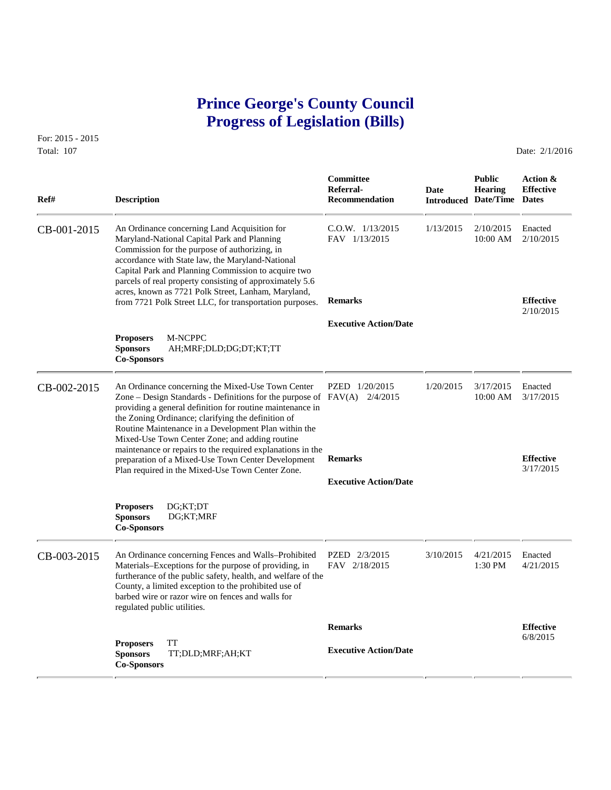# **Prince George's County Council Progress of Legislation (Bills)**

**Ref# Description Recommendation Introduced Date/Time Dates**

For: 2015 - 2015 Total: 107 **Date: 2/1/2016** 

CB-001-2015 An Ordinance concerning Land Acquisition for C.O.W. 1/13/2015 1/13/2015 2/10/2015 Enacted Maryland-National Capital Park and Planning FAV 1/13/2015 10:00 AM 2/10/2015 Maryland-National Capital Park and Planning Commission for the purpose of authorizing, in accordance with State law, the Maryland-National Capital Park and Planning Commission to acquire two parcels of real property consisting of approximately 5.6 acres, known as 7721 Polk Street, Lanham, Maryland, from 7721 Polk Street LLC, for transportation purposes. **Remarks Effective** 2/10/2015  **Executive Action/Date Proposers** M-NCPPC **Sponsors** AH;MRF;DLD;DG;DT;KT;TT **Co-Sponsors**  CB-002-2015 An Ordinance concerning the Mixed-Use Town Center PZED 1/20/2015 1/20/2015 3/17/2015 Enacted<br>Zone – Design Standards - Definitions for the purpose of FAV(A) 2/4/2015 10:00 AM 3/17/2015 Zone – Design Standards - Definitions for the purpose of  $FAV(A)$  2/4/2015 providing a general definition for routine maintenance in the Zoning Ordinance; clarifying the definition of Routine Maintenance in a Development Plan within the Mixed-Use Town Center Zone; and adding routine maintenance or repairs to the required explanations in the preparation of a Mixed-Use Town Center Development **Remarks Effective**<br>
Plan required in the Mixed-Use Town Center Zone<br>  $3/17/2015$ Plan required in the Mixed-Use Town Center Zone.  **Executive Action/Date Proposers** DG;KT;DT **Sponsors** DG;KT;MRF **Co-Sponsors**  CB-003-2015 An Ordinance concerning Fences and Walls–Prohibited PZED 2/3/2015 3/10/2015 4/21/2015 Enacted Materials–Exceptions for the purpose of providing, in FAV 2/18/2015 1:30 PM 4/21/2015 Materials–Exceptions for the purpose of providing, in furtherance of the public safety, health, and welfare of the County, a limited exception to the prohibited use of barbed wire or razor wire on fences and walls for regulated public utilities.  **Remarks Effective** 6/8/2015 **Proposers** TT  **Executive Action/Date Sponsors** TT;DLD;MRF;AH;KT **Co-Sponsors** 

 **Committee Public Action & Referral- Date Hearing Effective**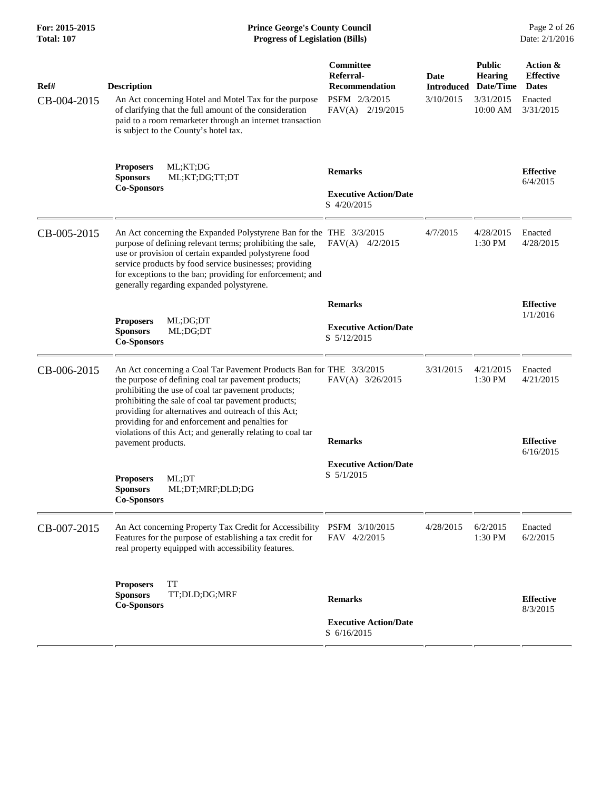| For: 2015-2015<br><b>Total: 107</b> | <b>Prince George's County Council</b><br><b>Progress of Legislation (Bills)</b>                                                                                                                                                                                                                                                                                                                                  |                                                               |                           |                                              |                                              |
|-------------------------------------|------------------------------------------------------------------------------------------------------------------------------------------------------------------------------------------------------------------------------------------------------------------------------------------------------------------------------------------------------------------------------------------------------------------|---------------------------------------------------------------|---------------------------|----------------------------------------------|----------------------------------------------|
| Ref#                                | <b>Description</b>                                                                                                                                                                                                                                                                                                                                                                                               | Committee<br>Referral-<br><b>Recommendation</b>               | Date<br><b>Introduced</b> | <b>Public</b><br><b>Hearing</b><br>Date/Time | Action &<br><b>Effective</b><br><b>Dates</b> |
| CB-004-2015                         | An Act concerning Hotel and Motel Tax for the purpose<br>of clarifying that the full amount of the consideration<br>paid to a room remarketer through an internet transaction<br>is subject to the County's hotel tax.                                                                                                                                                                                           | PSFM 2/3/2015<br>$FAV(A)$ 2/19/2015                           | 3/10/2015                 | 3/31/2015<br>10:00 AM                        | Enacted<br>3/31/2015                         |
|                                     | ML;KT;DG<br><b>Proposers</b><br><b>Sponsors</b><br>ML;KT;DG;TT;DT<br><b>Co-Sponsors</b>                                                                                                                                                                                                                                                                                                                          | <b>Remarks</b><br><b>Executive Action/Date</b><br>S 4/20/2015 |                           |                                              | <b>Effective</b><br>6/4/2015                 |
| CB-005-2015                         | An Act concerning the Expanded Polystyrene Ban for the THE 3/3/2015<br>purpose of defining relevant terms; prohibiting the sale,<br>use or provision of certain expanded polystyrene food<br>service products by food service businesses; providing<br>for exceptions to the ban; providing for enforcement; and<br>generally regarding expanded polystyrene.                                                    | $FAV(A)$ 4/2/2015                                             | 4/7/2015                  | 4/28/2015<br>1:30 PM                         | Enacted<br>4/28/2015                         |
|                                     |                                                                                                                                                                                                                                                                                                                                                                                                                  | <b>Remarks</b>                                                |                           |                                              | <b>Effective</b>                             |
|                                     | <b>Proposers</b><br>ML;DG;DT<br><b>Sponsors</b><br>ML;DG;DT<br><b>Co-Sponsors</b>                                                                                                                                                                                                                                                                                                                                | <b>Executive Action/Date</b><br>S 5/12/2015                   |                           |                                              | 1/1/2016                                     |
| CB-006-2015                         | An Act concerning a Coal Tar Pavement Products Ban for THE 3/3/2015<br>the purpose of defining coal tar pavement products;<br>prohibiting the use of coal tar pavement products;<br>prohibiting the sale of coal tar pavement products;<br>providing for alternatives and outreach of this Act;<br>providing for and enforcement and penalties for<br>violations of this Act; and generally relating to coal tar | FAV(A) 3/26/2015                                              | 3/31/2015                 | 4/21/2015<br>1:30 PM                         | Enacted<br>4/21/2015                         |
|                                     | pavement products.                                                                                                                                                                                                                                                                                                                                                                                               | <b>Remarks</b>                                                |                           |                                              | <b>Effective</b><br>6/16/2015                |
|                                     | ML;DT<br><b>Proposers</b><br><b>Sponsors</b><br>ML;DT;MRF;DLD;DG<br><b>Co-Sponsors</b>                                                                                                                                                                                                                                                                                                                           | <b>Executive Action/Date</b><br>$S \frac{5}{1/2015}$          |                           |                                              |                                              |
| CB-007-2015                         | An Act concerning Property Tax Credit for Accessibility PSFM 3/10/2015<br>Features for the purpose of establishing a tax credit for<br>real property equipped with accessibility features.                                                                                                                                                                                                                       | FAV 4/2/2015                                                  | 4/28/2015                 | 6/2/2015<br>1:30 PM                          | Enacted<br>6/2/2015                          |
|                                     | <b>TT</b><br><b>Proposers</b><br><b>Sponsors</b><br>TT;DLD;DG;MRF<br><b>Co-Sponsors</b>                                                                                                                                                                                                                                                                                                                          | <b>Remarks</b><br><b>Executive Action/Date</b>                |                           |                                              | <b>Effective</b><br>8/3/2015                 |
|                                     |                                                                                                                                                                                                                                                                                                                                                                                                                  | S 6/16/2015                                                   |                           |                                              |                                              |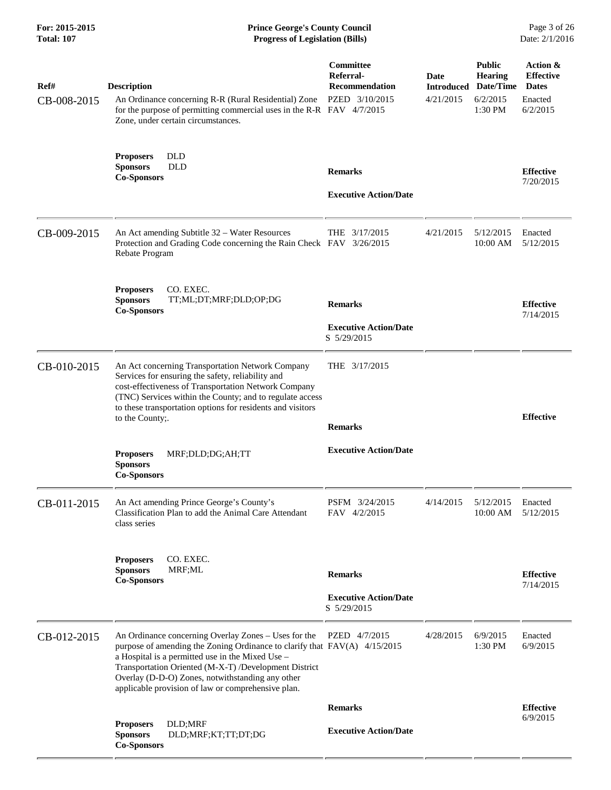| For: 2015-2015<br><b>Total: 107</b> | <b>Prince George's County Council</b><br>Date: 2/1/2016<br><b>Progress of Legislation (Bills)</b>                                                                                                                                                                                                                                                        |                                                                   |                   |                                                                                         |                                                                     |
|-------------------------------------|----------------------------------------------------------------------------------------------------------------------------------------------------------------------------------------------------------------------------------------------------------------------------------------------------------------------------------------------------------|-------------------------------------------------------------------|-------------------|-----------------------------------------------------------------------------------------|---------------------------------------------------------------------|
| Ref#<br>CB-008-2015                 | <b>Description</b><br>An Ordinance concerning R-R (Rural Residential) Zone<br>for the purpose of permitting commercial uses in the R-R FAV 4/7/2015<br>Zone, under certain circumstances.                                                                                                                                                                | Committee<br>Referral-<br><b>Recommendation</b><br>PZED 3/10/2015 | Date<br>4/21/2015 | <b>Public</b><br><b>Hearing</b><br><b>Introduced Date/Time</b><br>6/2/2015<br>$1:30$ PM | Action &<br><b>Effective</b><br><b>Dates</b><br>Enacted<br>6/2/2015 |
|                                     | <b>Proposers</b><br><b>DLD</b><br><b>DLD</b><br><b>Sponsors</b><br><b>Co-Sponsors</b>                                                                                                                                                                                                                                                                    | <b>Remarks</b><br><b>Executive Action/Date</b>                    |                   |                                                                                         | <b>Effective</b><br>7/20/2015                                       |
| CB-009-2015                         | An Act amending Subtitle 32 – Water Resources<br>Protection and Grading Code concerning the Rain Check FAV 3/26/2015<br>Rebate Program                                                                                                                                                                                                                   | THE 3/17/2015                                                     | 4/21/2015         | 5/12/2015<br>10:00 AM                                                                   | Enacted<br>5/12/2015                                                |
|                                     | CO. EXEC.<br><b>Proposers</b><br><b>Sponsors</b><br>TT;ML;DT;MRF;DLD;OP;DG<br><b>Co-Sponsors</b>                                                                                                                                                                                                                                                         | <b>Remarks</b><br><b>Executive Action/Date</b><br>S 5/29/2015     |                   |                                                                                         | <b>Effective</b><br>7/14/2015                                       |
| CB-010-2015                         | An Act concerning Transportation Network Company<br>Services for ensuring the safety, reliability and<br>cost-effectiveness of Transportation Network Company<br>(TNC) Services within the County; and to regulate access<br>to these transportation options for residents and visitors<br>to the County;.                                               | THE 3/17/2015<br><b>Remarks</b>                                   |                   |                                                                                         | <b>Effective</b>                                                    |
|                                     | MRF;DLD;DG;AH;TT<br><b>Proposers</b><br><b>Sponsors</b><br><b>Co-Sponsors</b>                                                                                                                                                                                                                                                                            | <b>Executive Action/Date</b>                                      |                   |                                                                                         |                                                                     |
| CB-011-2015                         | An Act amending Prince George's County's<br>Classification Plan to add the Animal Care Attendant<br>class series                                                                                                                                                                                                                                         | PSFM 3/24/2015<br>FAV 4/2/2015                                    | 4/14/2015         | 5/12/2015<br>$10:00$ AM                                                                 | Enacted<br>5/12/2015                                                |
|                                     | CO. EXEC.<br><b>Proposers</b><br><b>Sponsors</b><br>MRF;ML<br><b>Co-Sponsors</b>                                                                                                                                                                                                                                                                         | <b>Remarks</b><br><b>Executive Action/Date</b><br>S 5/29/2015     |                   |                                                                                         | <b>Effective</b><br>7/14/2015                                       |
| CB-012-2015                         | An Ordinance concerning Overlay Zones – Uses for the<br>purpose of amending the Zoning Ordinance to clarify that FAV(A) 4/15/2015<br>a Hospital is a permitted use in the Mixed Use -<br>Transportation Oriented (M-X-T) /Development District<br>Overlay (D-D-O) Zones, notwithstanding any other<br>applicable provision of law or comprehensive plan. | PZED 4/7/2015                                                     | 4/28/2015         | 6/9/2015<br>1:30 PM                                                                     | Enacted<br>6/9/2015                                                 |
|                                     |                                                                                                                                                                                                                                                                                                                                                          | <b>Remarks</b>                                                    |                   |                                                                                         | <b>Effective</b>                                                    |
|                                     | DLD;MRF<br><b>Proposers</b><br><b>Sponsors</b><br>DLD;MRF;KT;TT;DT;DG<br><b>Co-Sponsors</b>                                                                                                                                                                                                                                                              | <b>Executive Action/Date</b>                                      |                   |                                                                                         | 6/9/2015                                                            |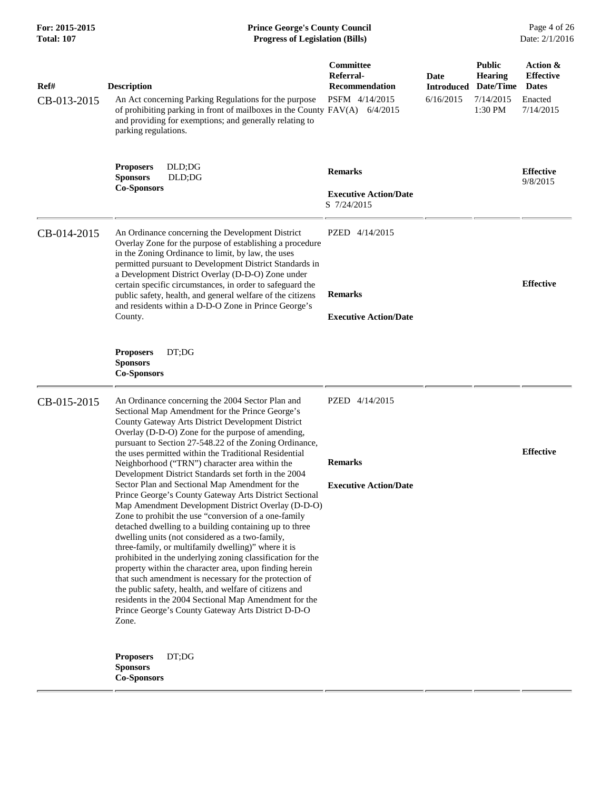| For: 2015-2015<br><b>Total: 107</b> | <b>Prince George's County Council</b><br><b>Progress of Legislation (Bills)</b>                                                                                                                                                                                                                                                                                                                                                                                                                                                                                                                                                                                                                                                                                                                                          |                                                                   |                                        |                                                                      |                                                                      |
|-------------------------------------|--------------------------------------------------------------------------------------------------------------------------------------------------------------------------------------------------------------------------------------------------------------------------------------------------------------------------------------------------------------------------------------------------------------------------------------------------------------------------------------------------------------------------------------------------------------------------------------------------------------------------------------------------------------------------------------------------------------------------------------------------------------------------------------------------------------------------|-------------------------------------------------------------------|----------------------------------------|----------------------------------------------------------------------|----------------------------------------------------------------------|
| Ref#<br>CB-013-2015                 | <b>Description</b><br>An Act concerning Parking Regulations for the purpose<br>of prohibiting parking in front of mailboxes in the County FAV(A) 6/4/2015<br>and providing for exemptions; and generally relating to<br>parking regulations.                                                                                                                                                                                                                                                                                                                                                                                                                                                                                                                                                                             | Committee<br>Referral-<br><b>Recommendation</b><br>PSFM 4/14/2015 | Date<br><b>Introduced</b><br>6/16/2015 | <b>Public</b><br><b>Hearing</b><br>Date/Time<br>7/14/2015<br>1:30 PM | Action &<br><b>Effective</b><br><b>Dates</b><br>Enacted<br>7/14/2015 |
|                                     | DLD;DG<br><b>Proposers</b><br><b>Sponsors</b><br>DLD;DG<br><b>Co-Sponsors</b>                                                                                                                                                                                                                                                                                                                                                                                                                                                                                                                                                                                                                                                                                                                                            | <b>Remarks</b><br><b>Executive Action/Date</b><br>S 7/24/2015     |                                        |                                                                      | <b>Effective</b><br>9/8/2015                                         |
| CB-014-2015                         | An Ordinance concerning the Development District<br>Overlay Zone for the purpose of establishing a procedure<br>in the Zoning Ordinance to limit, by law, the uses<br>permitted pursuant to Development District Standards in<br>a Development District Overlay (D-D-O) Zone under<br>certain specific circumstances, in order to safeguard the<br>public safety, health, and general welfare of the citizens<br>and residents within a D-D-O Zone in Prince George's<br>County.                                                                                                                                                                                                                                                                                                                                         | PZED 4/14/2015<br><b>Remarks</b><br><b>Executive Action/Date</b>  |                                        |                                                                      | <b>Effective</b>                                                     |
|                                     | DT;DG<br><b>Proposers</b><br><b>Sponsors</b><br><b>Co-Sponsors</b>                                                                                                                                                                                                                                                                                                                                                                                                                                                                                                                                                                                                                                                                                                                                                       |                                                                   |                                        |                                                                      |                                                                      |
| CB-015-2015                         | An Ordinance concerning the 2004 Sector Plan and<br>Sectional Map Amendment for the Prince George's<br>County Gateway Arts District Development District<br>Overlay (D-D-O) Zone for the purpose of amending,<br>pursuant to Section 27-548.22 of the Zoning Ordinance,<br>the uses permitted within the Traditional Residential<br>Neighborhood ("TRN") character area within the                                                                                                                                                                                                                                                                                                                                                                                                                                       | PZED 4/14/2015<br><b>Remarks</b>                                  |                                        |                                                                      | <b>Effective</b>                                                     |
|                                     | Development District Standards set forth in the 2004<br>Sector Plan and Sectional Map Amendment for the<br>Prince George's County Gateway Arts District Sectional<br>Map Amendment Development District Overlay (D-D-O)<br>Zone to prohibit the use "conversion of a one-family<br>detached dwelling to a building containing up to three<br>dwelling units (not considered as a two-family,<br>three-family, or multifamily dwelling)" where it is<br>prohibited in the underlying zoning classification for the<br>property within the character area, upon finding herein<br>that such amendment is necessary for the protection of<br>the public safety, health, and welfare of citizens and<br>residents in the 2004 Sectional Map Amendment for the<br>Prince George's County Gateway Arts District D-D-O<br>Zone. | <b>Executive Action/Date</b>                                      |                                        |                                                                      |                                                                      |
|                                     | DT;DG<br><b>Proposers</b><br><b>Sponsors</b><br><b>Co-Sponsors</b>                                                                                                                                                                                                                                                                                                                                                                                                                                                                                                                                                                                                                                                                                                                                                       |                                                                   |                                        |                                                                      |                                                                      |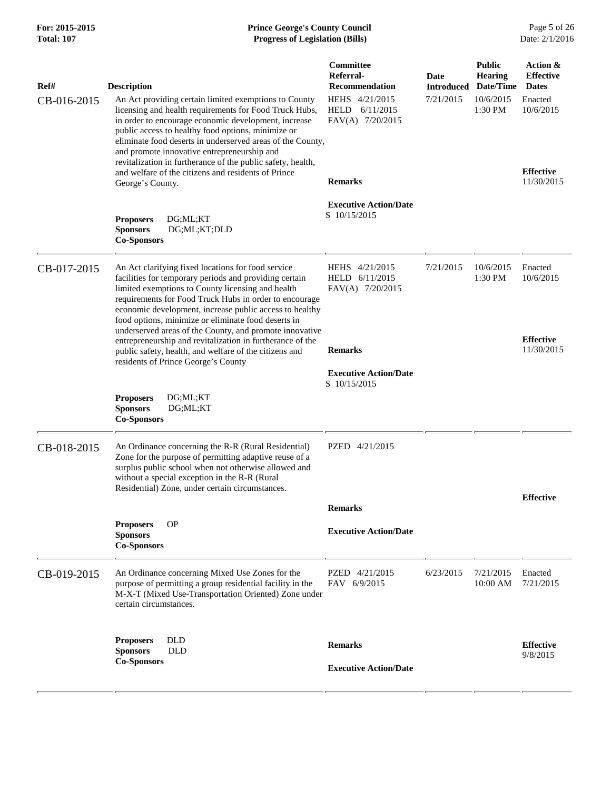## **For: 2015-2015 Prince George's County Council** Page 5 of 26<br> **Formal: 107 Progress of Legislation (Bills)** Date: 2/1/2016 **Total: 107 Progress of Legislation (Bills)**

| Ref#<br>CB-016-2015 | <b>Description</b><br>An Act providing certain limited exemptions to County<br>licensing and health requirements for Food Truck Hubs,<br>in order to encourage economic development, increase<br>public access to healthy food options, minimize or<br>eliminate food deserts in underserved areas of the County,<br>and promote innovative entrepreneurship and<br>revitalization in furtherance of the public safety, health,<br>and welfare of the citizens and residents of Prince<br>George's County. | Committee<br>Referral-<br><b>Recommendation</b><br>HEHS 4/21/2015<br>HELD<br>6/11/2015<br>FAV(A) 7/20/2015<br><b>Remarks</b> | <b>Date</b><br><b>Introduced</b><br>7/21/2015 | <b>Public</b><br><b>Hearing</b><br>Date/Time<br>10/6/2015<br>1:30 PM | Action &<br><b>Effective</b><br><b>Dates</b><br>Enacted<br>10/6/2015<br><b>Effective</b><br>11/30/2015 |
|---------------------|------------------------------------------------------------------------------------------------------------------------------------------------------------------------------------------------------------------------------------------------------------------------------------------------------------------------------------------------------------------------------------------------------------------------------------------------------------------------------------------------------------|------------------------------------------------------------------------------------------------------------------------------|-----------------------------------------------|----------------------------------------------------------------------|--------------------------------------------------------------------------------------------------------|
|                     | <b>Proposers</b><br>DG;ML;KT<br><b>Sponsors</b><br>DG;ML;KT;DLD<br><b>Co-Sponsors</b>                                                                                                                                                                                                                                                                                                                                                                                                                      | <b>Executive Action/Date</b><br>S 10/15/2015                                                                                 |                                               |                                                                      |                                                                                                        |
| CB-017-2015         | An Act clarifying fixed locations for food service<br>facilities for temporary periods and providing certain<br>limited exemptions to County licensing and health<br>requirements for Food Truck Hubs in order to encourage<br>economic development, increase public access to healthy<br>food options, minimize or eliminate food deserts in<br>underserved areas of the County, and promote innovative                                                                                                   | HEHS 4/21/2015<br>HELD 6/11/2015<br>FAV(A) 7/20/2015                                                                         | 7/21/2015                                     | 10/6/2015<br>1:30 PM                                                 | Enacted<br>10/6/2015                                                                                   |
|                     | entrepreneurship and revitalization in furtherance of the<br>public safety, health, and welfare of the citizens and<br>residents of Prince George's County                                                                                                                                                                                                                                                                                                                                                 | <b>Remarks</b><br><b>Executive Action/Date</b>                                                                               |                                               |                                                                      | <b>Effective</b><br>11/30/2015                                                                         |
|                     | <b>Proposers</b><br>DG;ML;KT<br><b>Sponsors</b><br>DG;ML;KT<br><b>Co-Sponsors</b>                                                                                                                                                                                                                                                                                                                                                                                                                          | S 10/15/2015                                                                                                                 |                                               |                                                                      |                                                                                                        |
| CB-018-2015         | An Ordinance concerning the R-R (Rural Residential)<br>Zone for the purpose of permitting adaptive reuse of a<br>surplus public school when not otherwise allowed and<br>without a special exception in the R-R (Rural<br>Residential) Zone, under certain circumstances.                                                                                                                                                                                                                                  | PZED 4/21/2015                                                                                                               |                                               |                                                                      |                                                                                                        |
|                     |                                                                                                                                                                                                                                                                                                                                                                                                                                                                                                            | <b>Remarks</b>                                                                                                               |                                               |                                                                      | <b>Effective</b>                                                                                       |
|                     | <b>Proposers</b><br><b>OP</b><br><b>Sponsors</b><br><b>Co-Sponsors</b>                                                                                                                                                                                                                                                                                                                                                                                                                                     | <b>Executive Action/Date</b>                                                                                                 |                                               |                                                                      |                                                                                                        |
| CB-019-2015         | An Ordinance concerning Mixed Use Zones for the<br>purpose of permitting a group residential facility in the<br>M-X-T (Mixed Use-Transportation Oriented) Zone under<br>certain circumstances.                                                                                                                                                                                                                                                                                                             | PZED 4/21/2015<br>FAV 6/9/2015                                                                                               | 6/23/2015                                     | 7/21/2015<br>10:00 AM                                                | Enacted<br>7/21/2015                                                                                   |
|                     | <b>DLD</b><br><b>Proposers</b><br><b>DLD</b><br><b>Sponsors</b><br><b>Co-Sponsors</b>                                                                                                                                                                                                                                                                                                                                                                                                                      | <b>Remarks</b><br><b>Executive Action/Date</b>                                                                               |                                               |                                                                      | <b>Effective</b><br>9/8/2015                                                                           |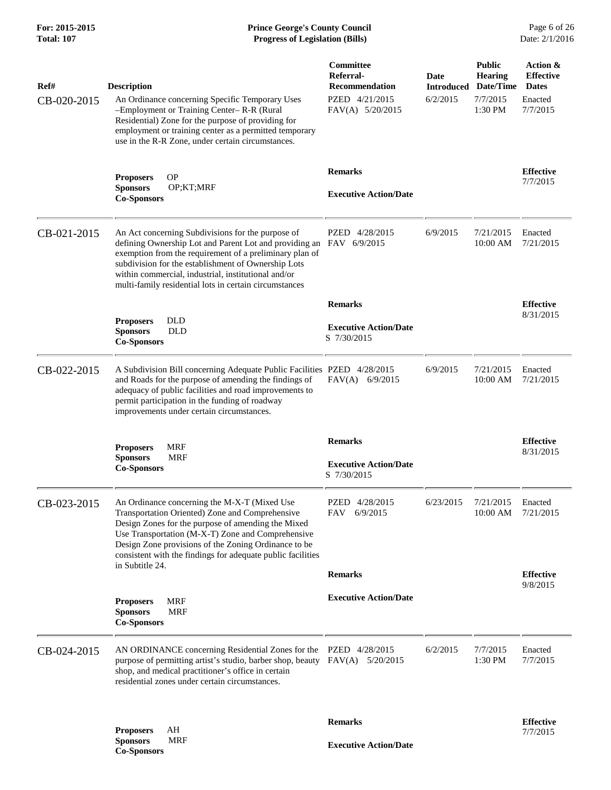| Ref#<br>CB-020-2015 | <b>Description</b><br>An Ordinance concerning Specific Temporary Uses<br>-Employment or Training Center-R-R (Rural<br>Residential) Zone for the purpose of providing for<br>employment or training center as a permitted temporary<br>use in the R-R Zone, under certain circumstances.                                                        | Committee<br>Referral-<br>Recommendation<br>PZED 4/21/2015<br>FAV(A) 5/20/2015 | Date<br><b>Introduced</b><br>6/2/2015 | <b>Public</b><br><b>Hearing</b><br>Date/Time<br>7/7/2015<br>1:30 PM | Action &<br><b>Effective</b><br><b>Dates</b><br>Enacted<br>7/7/2015 |
|---------------------|------------------------------------------------------------------------------------------------------------------------------------------------------------------------------------------------------------------------------------------------------------------------------------------------------------------------------------------------|--------------------------------------------------------------------------------|---------------------------------------|---------------------------------------------------------------------|---------------------------------------------------------------------|
|                     | <b>OP</b><br><b>Proposers</b><br><b>Sponsors</b><br>OP;KT;MRF<br><b>Co-Sponsors</b>                                                                                                                                                                                                                                                            | <b>Remarks</b><br><b>Executive Action/Date</b>                                 |                                       |                                                                     | <b>Effective</b><br>7/7/2015                                        |
| CB-021-2015         | An Act concerning Subdivisions for the purpose of<br>defining Ownership Lot and Parent Lot and providing an<br>exemption from the requirement of a preliminary plan of<br>subdivision for the establishment of Ownership Lots<br>within commercial, industrial, institutional and/or<br>multi-family residential lots in certain circumstances | PZED 4/28/2015<br>FAV 6/9/2015                                                 | 6/9/2015                              | 7/21/2015<br>10:00 AM                                               | Enacted<br>7/21/2015                                                |
|                     |                                                                                                                                                                                                                                                                                                                                                | <b>Remarks</b>                                                                 |                                       |                                                                     | <b>Effective</b>                                                    |
|                     | <b>DLD</b><br><b>Proposers</b><br><b>DLD</b><br><b>Sponsors</b><br><b>Co-Sponsors</b>                                                                                                                                                                                                                                                          | <b>Executive Action/Date</b><br>S 7/30/2015                                    |                                       |                                                                     | 8/31/2015                                                           |
| CB-022-2015         | A Subdivision Bill concerning Adequate Public Facilities PZED 4/28/2015<br>and Roads for the purpose of amending the findings of<br>adequacy of public facilities and road improvements to<br>permit participation in the funding of roadway<br>improvements under certain circumstances.                                                      | $FAV(A)$ 6/9/2015                                                              | 6/9/2015                              | 7/21/2015<br>10:00 AM                                               | Enacted<br>7/21/2015                                                |
|                     | <b>MRF</b><br><b>Proposers</b><br><b>Sponsors</b><br><b>MRF</b><br><b>Co-Sponsors</b>                                                                                                                                                                                                                                                          | <b>Remarks</b><br><b>Executive Action/Date</b><br>S 7/30/2015                  |                                       |                                                                     | <b>Effective</b><br>8/31/2015                                       |
| CB-023-2015         | An Ordinance concerning the M-X-T (Mixed Use<br>Transportation Oriented) Zone and Comprehensive<br>Design Zones for the purpose of amending the Mixed<br>Use Transportation (M-X-T) Zone and Comprehensive<br>Design Zone provisions of the Zoning Ordinance to be<br>consistent with the findings for adequate public facilities              | PZED 4/28/2015<br>FAV 6/9/2015                                                 | 6/23/2015                             | 7/21/2015 Enacted<br>10:00 AM                                       | 7/21/2015                                                           |
|                     | in Subtitle 24.                                                                                                                                                                                                                                                                                                                                | <b>Remarks</b>                                                                 |                                       |                                                                     | <b>Effective</b>                                                    |
|                     | <b>MRF</b><br><b>Proposers</b><br><b>Sponsors</b><br><b>MRF</b><br><b>Co-Sponsors</b>                                                                                                                                                                                                                                                          | <b>Executive Action/Date</b>                                                   |                                       |                                                                     | 9/8/2015                                                            |
| CB-024-2015         | AN ORDINANCE concerning Residential Zones for the PZED 4/28/2015<br>purpose of permitting artist's studio, barber shop, beauty FAV(A) 5/20/2015<br>shop, and medical practitioner's office in certain<br>residential zones under certain circumstances.                                                                                        |                                                                                | 6/2/2015                              | 7/7/2015<br>1:30 PM                                                 | Enacted<br>7/7/2015                                                 |
|                     |                                                                                                                                                                                                                                                                                                                                                | <b>Remarks</b>                                                                 |                                       |                                                                     | <b>Effective</b>                                                    |
|                     | AH<br><b>Proposers</b><br><b>Sponsors</b><br><b>MRF</b>                                                                                                                                                                                                                                                                                        |                                                                                |                                       |                                                                     | 7/7/2015                                                            |
|                     | <b>Co-Sponsors</b>                                                                                                                                                                                                                                                                                                                             | <b>Executive Action/Date</b>                                                   |                                       |                                                                     |                                                                     |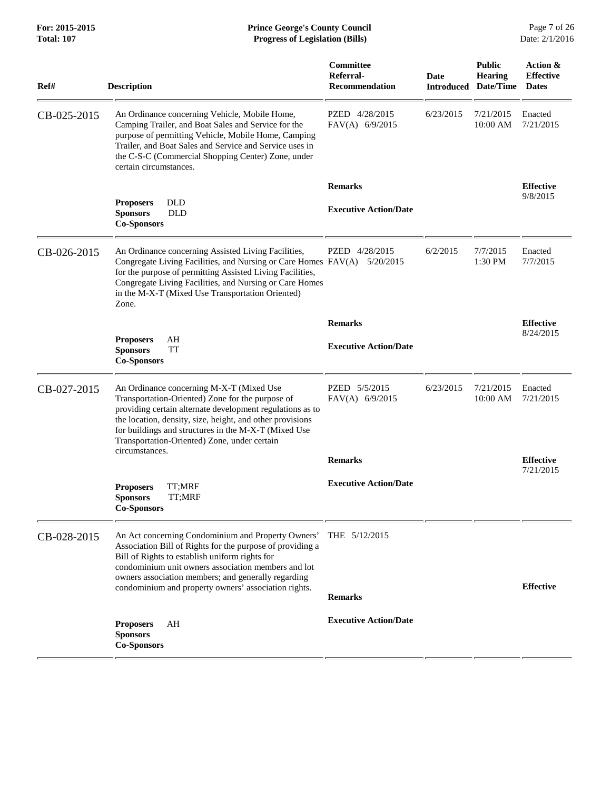| Ref#        | <b>Description</b>                                                                                                                                                                                                                                                                                                                               | Committee<br>Referral-<br><b>Recommendation</b> | Date<br><b>Introduced</b> | <b>Public</b><br><b>Hearing</b><br>Date/Time | Action &<br><b>Effective</b><br><b>Dates</b> |
|-------------|--------------------------------------------------------------------------------------------------------------------------------------------------------------------------------------------------------------------------------------------------------------------------------------------------------------------------------------------------|-------------------------------------------------|---------------------------|----------------------------------------------|----------------------------------------------|
| CB-025-2015 | An Ordinance concerning Vehicle, Mobile Home,<br>Camping Trailer, and Boat Sales and Service for the<br>purpose of permitting Vehicle, Mobile Home, Camping<br>Trailer, and Boat Sales and Service and Service uses in<br>the C-S-C (Commercial Shopping Center) Zone, under<br>certain circumstances.                                           | PZED 4/28/2015<br>FAV(A) 6/9/2015               | 6/23/2015                 | 7/21/2015<br>10:00 AM                        | Enacted<br>7/21/2015                         |
|             |                                                                                                                                                                                                                                                                                                                                                  | <b>Remarks</b>                                  |                           |                                              | <b>Effective</b>                             |
|             | <b>DLD</b><br><b>Proposers</b><br><b>Sponsors</b><br><b>DLD</b><br><b>Co-Sponsors</b>                                                                                                                                                                                                                                                            | <b>Executive Action/Date</b>                    |                           |                                              | 9/8/2015                                     |
| CB-026-2015 | An Ordinance concerning Assisted Living Facilities,<br>Congregate Living Facilities, and Nursing or Care Homes FAV(A) 5/20/2015<br>for the purpose of permitting Assisted Living Facilities,<br>Congregate Living Facilities, and Nursing or Care Homes<br>in the M-X-T (Mixed Use Transportation Oriented)<br>Zone.                             | PZED 4/28/2015                                  | 6/2/2015                  | 7/7/2015<br>1:30 PM                          | Enacted<br>7/7/2015                          |
|             |                                                                                                                                                                                                                                                                                                                                                  | <b>Remarks</b>                                  |                           |                                              | <b>Effective</b>                             |
|             | <b>Proposers</b><br>AH<br>TT<br><b>Sponsors</b><br><b>Co-Sponsors</b>                                                                                                                                                                                                                                                                            | <b>Executive Action/Date</b>                    |                           |                                              | 8/24/2015                                    |
| CB-027-2015 | An Ordinance concerning M-X-T (Mixed Use<br>Transportation-Oriented) Zone for the purpose of<br>providing certain alternate development regulations as to<br>the location, density, size, height, and other provisions<br>for buildings and structures in the M-X-T (Mixed Use<br>Transportation-Oriented) Zone, under certain<br>circumstances. | PZED 5/5/2015<br>FAV(A) 6/9/2015                | 6/23/2015                 | 7/21/2015<br>10:00 AM                        | Enacted<br>7/21/2015                         |
|             |                                                                                                                                                                                                                                                                                                                                                  | <b>Remarks</b>                                  |                           |                                              | <b>Effective</b><br>7/21/2015                |
|             | TT;MRF<br><b>Proposers</b><br>TT;MRF<br><b>Sponsors</b><br><b>Co-Sponsors</b>                                                                                                                                                                                                                                                                    | <b>Executive Action/Date</b>                    |                           |                                              |                                              |
| CB-028-2015 | An Act concerning Condominium and Property Owners'<br>Association Bill of Rights for the purpose of providing a<br>Bill of Rights to establish uniform rights for<br>condominium unit owners association members and lot<br>owners association members; and generally regarding<br>condominium and property owners' association rights.          | THE 5/12/2015                                   |                           |                                              | <b>Effective</b>                             |
|             |                                                                                                                                                                                                                                                                                                                                                  | <b>Remarks</b>                                  |                           |                                              |                                              |
|             | ΑH<br><b>Proposers</b><br><b>Sponsors</b><br><b>Co-Sponsors</b>                                                                                                                                                                                                                                                                                  | <b>Executive Action/Date</b>                    |                           |                                              |                                              |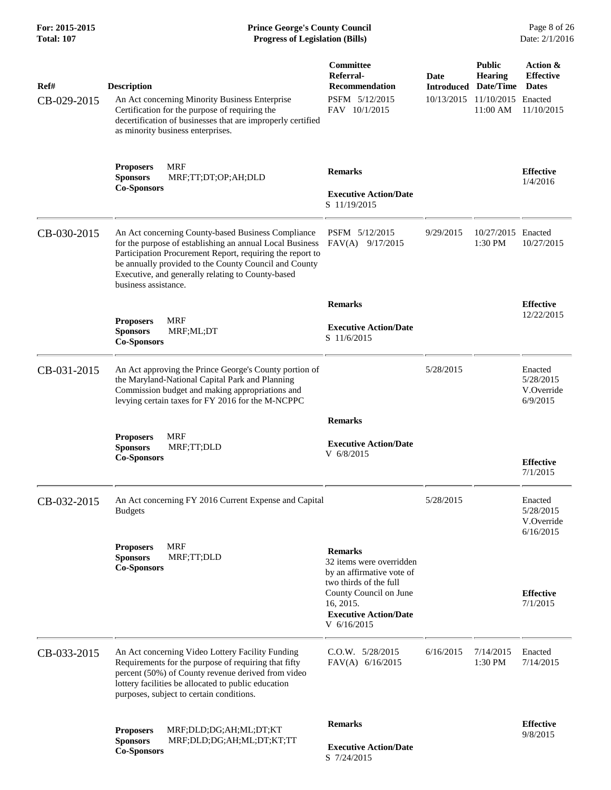## **For: 2015-2015 Prince George's County Council** Page 8 of 26<br> **Formal: 107 Prince George's County Council** Page 8 of 26<br> **Progress of Legislation (Bills)** Date: 2/1/2016 **Total: 107 Progress of Legislation (Bills)**

| Ref#<br>CB-029-2015 | <b>Description</b><br>An Act concerning Minority Business Enterprise<br>Certification for the purpose of requiring the<br>decertification of businesses that are improperly certified<br>as minority business enterprises.                                                                                        | Committee<br>Referral-<br><b>Recommendation</b><br>PSFM 5/12/2015<br>FAV 10/1/2015                                                                                                      | Date<br><b>Introduced</b><br>10/13/2015 | <b>Public</b><br><b>Hearing</b><br>Date/Time<br>11/10/2015 Enacted<br>11:00 AM | Action &<br><b>Effective</b><br><b>Dates</b><br>11/10/2015 |
|---------------------|-------------------------------------------------------------------------------------------------------------------------------------------------------------------------------------------------------------------------------------------------------------------------------------------------------------------|-----------------------------------------------------------------------------------------------------------------------------------------------------------------------------------------|-----------------------------------------|--------------------------------------------------------------------------------|------------------------------------------------------------|
|                     | <b>MRF</b><br><b>Proposers</b><br><b>Sponsors</b><br>MRF;TT;DT;OP;AH;DLD<br><b>Co-Sponsors</b>                                                                                                                                                                                                                    | <b>Remarks</b><br><b>Executive Action/Date</b><br>S 11/19/2015                                                                                                                          |                                         |                                                                                | <b>Effective</b><br>1/4/2016                               |
| CB-030-2015         | An Act concerning County-based Business Compliance<br>for the purpose of establishing an annual Local Business<br>Participation Procurement Report, requiring the report to<br>be annually provided to the County Council and County<br>Executive, and generally relating to County-based<br>business assistance. | PSFM 5/12/2015<br>FAV(A) 9/17/2015                                                                                                                                                      | 9/29/2015                               | 10/27/2015 Enacted<br>1:30 PM                                                  | 10/27/2015                                                 |
|                     | <b>MRF</b><br><b>Proposers</b><br><b>Sponsors</b><br>MRF;ML;DT<br><b>Co-Sponsors</b>                                                                                                                                                                                                                              | <b>Remarks</b><br><b>Executive Action/Date</b><br>S 11/6/2015                                                                                                                           |                                         |                                                                                | <b>Effective</b><br>12/22/2015                             |
| CB-031-2015         | An Act approving the Prince George's County portion of<br>the Maryland-National Capital Park and Planning<br>Commission budget and making appropriations and<br>levying certain taxes for FY 2016 for the M-NCPPC                                                                                                 |                                                                                                                                                                                         | 5/28/2015                               |                                                                                | Enacted<br>5/28/2015<br>V.Override<br>6/9/2015             |
|                     | <b>MRF</b><br><b>Proposers</b><br><b>Sponsors</b><br>MRF;TT;DLD<br><b>Co-Sponsors</b>                                                                                                                                                                                                                             | <b>Remarks</b><br><b>Executive Action/Date</b><br>V 6/8/2015                                                                                                                            |                                         |                                                                                | <b>Effective</b><br>7/1/2015                               |
| CB-032-2015         | An Act concerning FY 2016 Current Expense and Capital<br><b>Budgets</b>                                                                                                                                                                                                                                           |                                                                                                                                                                                         | 5/28/2015                               |                                                                                | Enacted<br>5/28/2015<br>V.Override<br>6/16/2015            |
|                     | <b>MRF</b><br><b>Proposers</b><br><b>Sponsors</b><br>MRF;TT;DLD<br><b>Co-Sponsors</b>                                                                                                                                                                                                                             | <b>Remarks</b><br>32 items were overridden<br>by an affirmative vote of<br>two thirds of the full<br>County Council on June<br>16, 2015.<br><b>Executive Action/Date</b><br>V 6/16/2015 |                                         |                                                                                | <b>Effective</b><br>7/1/2015                               |
| CB-033-2015         | An Act concerning Video Lottery Facility Funding<br>Requirements for the purpose of requiring that fifty<br>percent (50%) of County revenue derived from video<br>lottery facilities be allocated to public education<br>purposes, subject to certain conditions.                                                 | C.O.W. 5/28/2015<br>FAV(A) $6/16/2015$                                                                                                                                                  | 6/16/2015                               | 7/14/2015<br>1:30 PM                                                           | Enacted<br>7/14/2015                                       |
|                     | MRF;DLD;DG;AH;ML;DT;KT<br><b>Proposers</b><br><b>Sponsors</b><br>MRF;DLD;DG;AH;ML;DT;KT;TT<br><b>Co-Sponsors</b>                                                                                                                                                                                                  | <b>Remarks</b><br><b>Executive Action/Date</b><br>S 7/24/2015                                                                                                                           |                                         |                                                                                | <b>Effective</b><br>9/8/2015                               |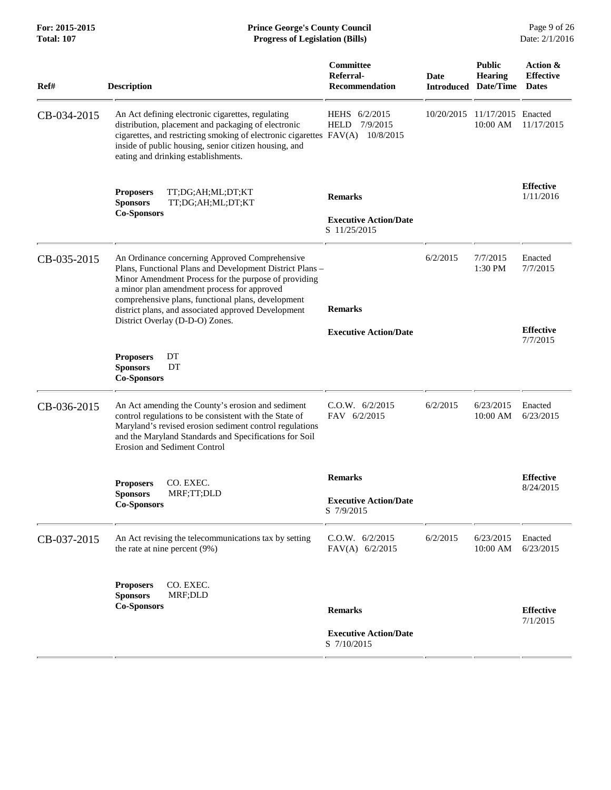| Ref#        | <b>Description</b>                                                                                                                                                                                                                                                                                                                                                | Committee<br>Referral-<br><b>Recommendation</b>                | Date<br><b>Introduced</b> | <b>Public</b><br><b>Hearing</b><br>Date/Time | Action &<br><b>Effective</b><br><b>Dates</b>        |
|-------------|-------------------------------------------------------------------------------------------------------------------------------------------------------------------------------------------------------------------------------------------------------------------------------------------------------------------------------------------------------------------|----------------------------------------------------------------|---------------------------|----------------------------------------------|-----------------------------------------------------|
| CB-034-2015 | An Act defining electronic cigarettes, regulating<br>distribution, placement and packaging of electronic<br>cigarettes, and restricting smoking of electronic cigarettes FAV(A)<br>inside of public housing, senior citizen housing, and<br>eating and drinking establishments.                                                                                   | HEHS 6/2/2015<br><b>HELD</b><br>7/9/2015<br>10/8/2015          | 10/20/2015                | 11/17/2015<br>10:00 AM                       | Enacted<br>11/17/2015                               |
|             | <b>Proposers</b><br>TT;DG;AH;ML;DT;KT<br><b>Sponsors</b><br>TT;DG;AH;ML;DT;KT<br><b>Co-Sponsors</b>                                                                                                                                                                                                                                                               | <b>Remarks</b><br><b>Executive Action/Date</b><br>S 11/25/2015 |                           |                                              | <b>Effective</b><br>1/11/2016                       |
| CB-035-2015 | An Ordinance concerning Approved Comprehensive<br>Plans, Functional Plans and Development District Plans -<br>Minor Amendment Process for the purpose of providing<br>a minor plan amendment process for approved<br>comprehensive plans, functional plans, development<br>district plans, and associated approved Development<br>District Overlay (D-D-O) Zones. | <b>Remarks</b><br><b>Executive Action/Date</b>                 | 6/2/2015                  | 7/7/2015<br>1:30 PM                          | Enacted<br>7/7/2015<br><b>Effective</b><br>7/7/2015 |
|             | <b>Proposers</b><br>DT<br>DT<br><b>Sponsors</b><br><b>Co-Sponsors</b>                                                                                                                                                                                                                                                                                             |                                                                |                           |                                              |                                                     |
| CB-036-2015 | An Act amending the County's erosion and sediment<br>control regulations to be consistent with the State of<br>Maryland's revised erosion sediment control regulations<br>and the Maryland Standards and Specifications for Soil<br><b>Erosion and Sediment Control</b>                                                                                           | C.O.W. 6/2/2015<br>FAV 6/2/2015                                | 6/2/2015                  | 6/23/2015<br>10:00 AM                        | Enacted<br>6/23/2015                                |
|             | <b>Proposers</b><br>CO. EXEC.                                                                                                                                                                                                                                                                                                                                     | <b>Remarks</b>                                                 |                           |                                              | <b>Effective</b>                                    |
|             | MRF;TT;DLD<br><b>Sponsors</b><br><b>Co-Sponsors</b>                                                                                                                                                                                                                                                                                                               | <b>Executive Action/Date</b><br>S 7/9/2015                     |                           |                                              | 8/24/2015                                           |
| CB-037-2015 | An Act revising the telecommunications tax by setting<br>the rate at nine percent (9%)                                                                                                                                                                                                                                                                            | C.0.W. 6/2/2015<br>FAV(A) 6/2/2015                             | 6/2/2015                  | 6/23/2015<br>10:00 AM                        | Enacted<br>6/23/2015                                |
|             | CO. EXEC.<br><b>Proposers</b><br>MRF;DLD<br><b>Sponsors</b><br><b>Co-Sponsors</b>                                                                                                                                                                                                                                                                                 | <b>Remarks</b><br><b>Executive Action/Date</b><br>S 7/10/2015  |                           |                                              | <b>Effective</b><br>7/1/2015                        |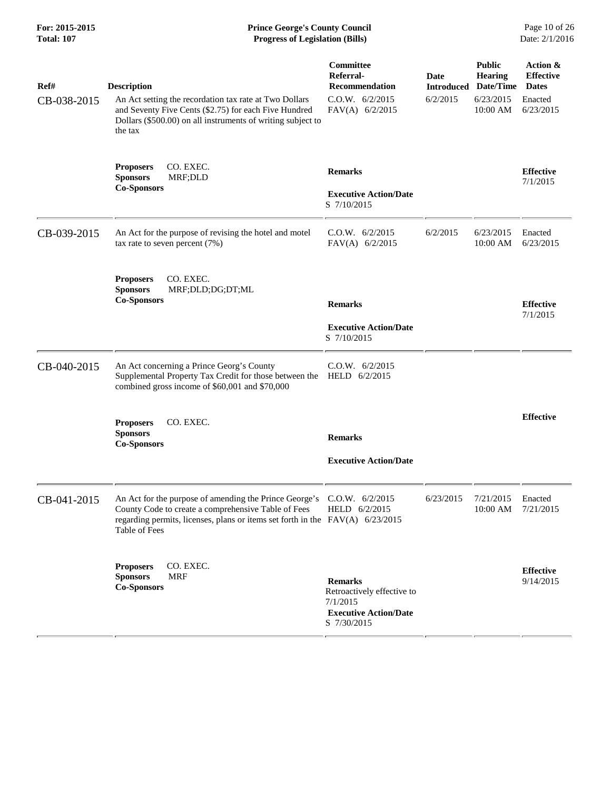## **For: 2015-2015 Prince George's County Council** Page 10 of 26<br> **Prince George's County Council** Page 10 of 26<br> **Progress of Legislation (Bills)** Date: 2/1/2016 **Total: 107 Progress of Legislation (Bills)**

| Ref#<br>CB-038-2015 | <b>Description</b><br>An Act setting the recordation tax rate at Two Dollars<br>and Seventy Five Cents (\$2.75) for each Five Hundred<br>Dollars (\$500.00) on all instruments of writing subject to<br>the tax                 | Committee<br>Referral-<br><b>Recommendation</b><br>C.O.W. 6/2/2015<br>$FAV(A)$ 6/2/2015                 | Date<br><b>Introduced</b><br>6/2/2015 | <b>Public</b><br><b>Hearing</b><br>Date/Time<br>6/23/2015<br>10:00 AM | Action &<br><b>Effective</b><br><b>Dates</b><br>Enacted<br>6/23/2015 |
|---------------------|---------------------------------------------------------------------------------------------------------------------------------------------------------------------------------------------------------------------------------|---------------------------------------------------------------------------------------------------------|---------------------------------------|-----------------------------------------------------------------------|----------------------------------------------------------------------|
|                     | CO. EXEC.<br><b>Proposers</b><br><b>Sponsors</b><br>MRF;DLD<br><b>Co-Sponsors</b>                                                                                                                                               | <b>Remarks</b><br><b>Executive Action/Date</b><br>S 7/10/2015                                           |                                       |                                                                       | <b>Effective</b><br>7/1/2015                                         |
| CB-039-2015         | An Act for the purpose of revising the hotel and motel<br>tax rate to seven percent $(7%)$                                                                                                                                      | C.O.W. 6/2/2015<br>FAV(A) 6/2/2015                                                                      | 6/2/2015                              | 6/23/2015<br>10:00 AM                                                 | Enacted<br>6/23/2015                                                 |
|                     | <b>Proposers</b><br>CO. EXEC.<br><b>Sponsors</b><br>MRF;DLD;DG;DT;ML<br><b>Co-Sponsors</b>                                                                                                                                      | <b>Remarks</b>                                                                                          |                                       |                                                                       | <b>Effective</b><br>7/1/2015                                         |
|                     |                                                                                                                                                                                                                                 | <b>Executive Action/Date</b><br>S 7/10/2015                                                             |                                       |                                                                       |                                                                      |
| CB-040-2015         | An Act concerning a Prince Georg's County<br>Supplemental Property Tax Credit for those between the<br>combined gross income of \$60,001 and \$70,000                                                                           | C.0.W. 6/2/2015<br>HELD 6/2/2015                                                                        |                                       |                                                                       |                                                                      |
|                     | CO. EXEC.<br><b>Proposers</b><br><b>Sponsors</b><br><b>Co-Sponsors</b>                                                                                                                                                          | <b>Remarks</b><br><b>Executive Action/Date</b>                                                          |                                       |                                                                       | <b>Effective</b>                                                     |
| CB-041-2015         | An Act for the purpose of amending the Prince George's C.O.W. 6/2/2015<br>County Code to create a comprehensive Table of Fees<br>regarding permits, licenses, plans or items set forth in the FAV(A) 6/23/2015<br>Table of Fees | HELD 6/2/2015                                                                                           | 6/23/2015                             | 7/21/2015<br>10:00 AM 7/21/2015                                       | Enacted                                                              |
|                     | CO. EXEC.<br><b>Proposers</b><br><b>MRF</b><br><b>Sponsors</b><br><b>Co-Sponsors</b>                                                                                                                                            | <b>Remarks</b><br>Retroactively effective to<br>7/1/2015<br><b>Executive Action/Date</b><br>S 7/30/2015 |                                       |                                                                       | <b>Effective</b><br>9/14/2015                                        |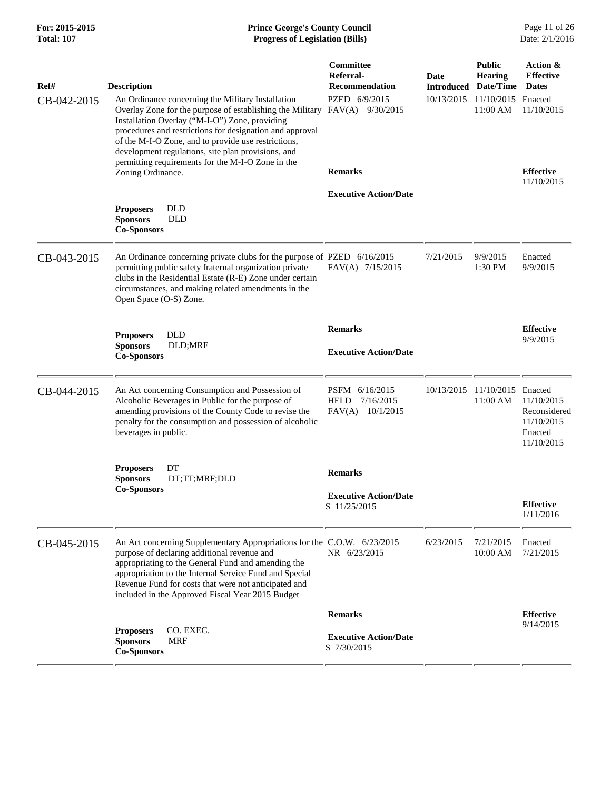## **For: 2015-2015 Prince George's County Council** Page 11 of 26<br> **Prince George's County Council** Page 11 of 26<br> **Progress of Legislation (Bills)** Date: 2/1/2016 **Total: 107 Progress of Legislation (Bills)**

| Ref#        | <b>Description</b>                                                                                                                                                                                                                                                           |                                                                         | Committee<br>Referral-<br><b>Recommendation</b>                | Date       | <b>Public</b><br><b>Hearing</b><br><b>Introduced Date/Time</b> | Action &<br><b>Effective</b><br><b>Dates</b>                      |
|-------------|------------------------------------------------------------------------------------------------------------------------------------------------------------------------------------------------------------------------------------------------------------------------------|-------------------------------------------------------------------------|----------------------------------------------------------------|------------|----------------------------------------------------------------|-------------------------------------------------------------------|
| CB-042-2015 | An Ordinance concerning the Military Installation<br>Installation Overlay ("M-I-O") Zone, providing<br>procedures and restrictions for designation and approval<br>of the M-I-O Zone, and to provide use restrictions,<br>development regulations, site plan provisions, and | Overlay Zone for the purpose of establishing the Military               | PZED 6/9/2015<br>$FAV(A)$ 9/30/2015                            | 10/13/2015 | 11/10/2015 Enacted<br>11:00 AM                                 | 11/10/2015                                                        |
|             | permitting requirements for the M-I-O Zone in the<br>Zoning Ordinance.                                                                                                                                                                                                       |                                                                         | <b>Remarks</b>                                                 |            |                                                                | <b>Effective</b><br>11/10/2015                                    |
|             |                                                                                                                                                                                                                                                                              |                                                                         | <b>Executive Action/Date</b>                                   |            |                                                                |                                                                   |
|             | <b>DLD</b><br><b>Proposers</b><br><b>Sponsors</b><br><b>DLD</b><br><b>Co-Sponsors</b>                                                                                                                                                                                        |                                                                         |                                                                |            |                                                                |                                                                   |
| CB-043-2015 | permitting public safety fraternal organization private<br>clubs in the Residential Estate (R-E) Zone under certain<br>circumstances, and making related amendments in the<br>Open Space (O-S) Zone.                                                                         | An Ordinance concerning private clubs for the purpose of PZED 6/16/2015 | FAV(A) 7/15/2015                                               | 7/21/2015  | 9/9/2015<br>1:30 PM                                            | Enacted<br>9/9/2015                                               |
|             | <b>DLD</b>                                                                                                                                                                                                                                                                   |                                                                         | <b>Remarks</b>                                                 |            |                                                                | <b>Effective</b>                                                  |
|             | <b>Proposers</b><br><b>Sponsors</b><br>DLD;MRF<br><b>Co-Sponsors</b>                                                                                                                                                                                                         |                                                                         | <b>Executive Action/Date</b>                                   |            |                                                                | 9/9/2015                                                          |
| CB-044-2015 | An Act concerning Consumption and Possession of<br>Alcoholic Beverages in Public for the purpose of<br>amending provisions of the County Code to revise the<br>penalty for the consumption and possession of alcoholic<br>beverages in public.                               |                                                                         | PSFM 6/16/2015<br><b>HELD</b><br>7/16/2015<br>FAV(A) 10/1/2015 | 10/13/2015 | 11/10/2015 Enacted<br>$11:00 \text{ AM}$                       | 11/10/2015<br>Reconsidered<br>11/10/2015<br>Enacted<br>11/10/2015 |
|             | DT<br><b>Proposers</b><br>DT;TT;MRF;DLD<br><b>Sponsors</b>                                                                                                                                                                                                                   |                                                                         | <b>Remarks</b>                                                 |            |                                                                |                                                                   |
|             | <b>Co-Sponsors</b>                                                                                                                                                                                                                                                           |                                                                         | <b>Executive Action/Date</b><br>S 11/25/2015                   |            |                                                                | <b>Effective</b><br>1/11/2016                                     |
| CB-045-2015 | purpose of declaring additional revenue and<br>appropriating to the General Fund and amending the<br>appropriation to the Internal Service Fund and Special<br>Revenue Fund for costs that were not anticipated and<br>included in the Approved Fiscal Year 2015 Budget      | An Act concerning Supplementary Appropriations for the C.O.W. 6/23/2015 | NR 6/23/2015                                                   | 6/23/2015  | 7/21/2015<br>10:00 AM                                          | Enacted<br>7/21/2015                                              |
|             |                                                                                                                                                                                                                                                                              |                                                                         | <b>Remarks</b>                                                 |            |                                                                | <b>Effective</b><br>9/14/2015                                     |
|             | CO. EXEC.<br><b>Proposers</b><br><b>Sponsors</b><br><b>MRF</b><br><b>Co-Sponsors</b>                                                                                                                                                                                         |                                                                         | <b>Executive Action/Date</b><br>S 7/30/2015                    |            |                                                                |                                                                   |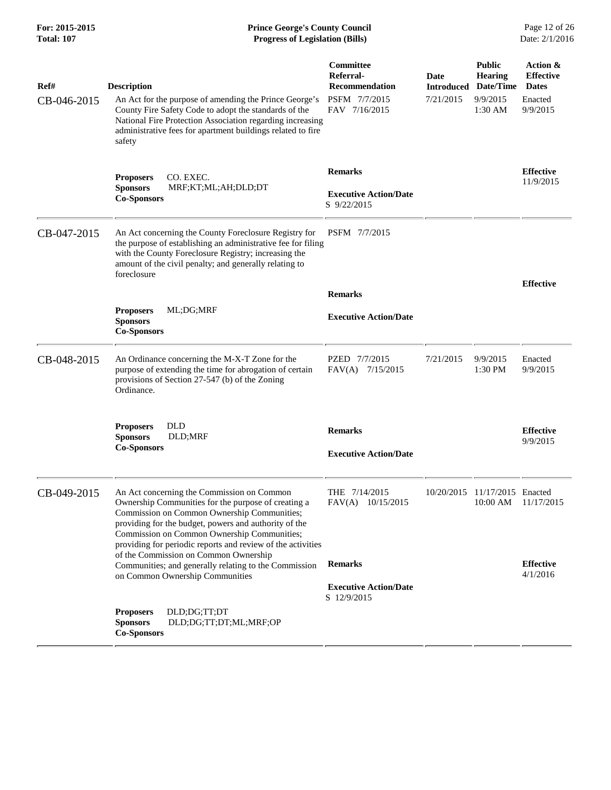| For: 2015-2015<br><b>Total: 107</b> | <b>Prince George's County Council</b><br>Date: 2/1/2016<br><b>Progress of Legislation (Bills)</b>                                                                                                                                                                                                                       |                                                                                          |                                        |                                                                       |                                                                     |
|-------------------------------------|-------------------------------------------------------------------------------------------------------------------------------------------------------------------------------------------------------------------------------------------------------------------------------------------------------------------------|------------------------------------------------------------------------------------------|----------------------------------------|-----------------------------------------------------------------------|---------------------------------------------------------------------|
| Ref#<br>CB-046-2015                 | <b>Description</b><br>An Act for the purpose of amending the Prince George's<br>County Fire Safety Code to adopt the standards of the<br>National Fire Protection Association regarding increasing<br>administrative fees for apartment buildings related to fire<br>safety                                             | <b>Committee</b><br>Referral-<br><b>Recommendation</b><br>PSFM 7/7/2015<br>FAV 7/16/2015 | Date<br><b>Introduced</b><br>7/21/2015 | <b>Public</b><br><b>Hearing</b><br>Date/Time<br>9/9/2015<br>$1:30$ AM | Action &<br><b>Effective</b><br><b>Dates</b><br>Enacted<br>9/9/2015 |
|                                     | CO. EXEC.<br><b>Proposers</b><br>MRF;KT;ML;AH;DLD;DT<br><b>Sponsors</b><br><b>Co-Sponsors</b>                                                                                                                                                                                                                           | <b>Remarks</b><br><b>Executive Action/Date</b><br>S 9/22/2015                            |                                        |                                                                       | <b>Effective</b><br>11/9/2015                                       |
| CB-047-2015                         | An Act concerning the County Foreclosure Registry for<br>the purpose of establishing an administrative fee for filing<br>with the County Foreclosure Registry; increasing the<br>amount of the civil penalty; and generally relating to<br>foreclosure                                                                  | PSFM 7/7/2015                                                                            |                                        |                                                                       | <b>Effective</b>                                                    |
|                                     | ML;DG;MRF<br><b>Proposers</b><br><b>Sponsors</b>                                                                                                                                                                                                                                                                        | <b>Remarks</b><br><b>Executive Action/Date</b>                                           |                                        |                                                                       |                                                                     |
| CB-048-2015                         | <b>Co-Sponsors</b><br>An Ordinance concerning the M-X-T Zone for the<br>purpose of extending the time for abrogation of certain<br>provisions of Section 27-547 (b) of the Zoning<br>Ordinance.                                                                                                                         | PZED 7/7/2015<br>$FAV(A)$ 7/15/2015                                                      | 7/21/2015                              | 9/9/2015<br>1:30 PM                                                   | Enacted<br>9/9/2015                                                 |
|                                     | <b>DLD</b><br><b>Proposers</b><br><b>Sponsors</b><br>DLD;MRF<br><b>Co-Sponsors</b>                                                                                                                                                                                                                                      | <b>Remarks</b><br><b>Executive Action/Date</b>                                           |                                        |                                                                       | <b>Effective</b><br>9/9/2015                                        |
| CB-049-2015                         | An Act concerning the Commission on Common<br>Ownership Communities for the purpose of creating a<br>Commission on Common Ownership Communities;<br>providing for the budget, powers and authority of the<br>Commission on Common Ownership Communities;<br>providing for periodic reports and review of the activities | THE 7/14/2015<br>FAV(A) 10/15/2015                                                       | 10/20/2015                             | 11/17/2015 Enacted<br>10:00 AM                                        | 11/17/2015                                                          |
|                                     | of the Commission on Common Ownership<br>Communities; and generally relating to the Commission<br>on Common Ownership Communities                                                                                                                                                                                       | <b>Remarks</b><br><b>Executive Action/Date</b><br>S 12/9/2015                            |                                        |                                                                       | <b>Effective</b><br>4/1/2016                                        |
|                                     | <b>Proposers</b><br>DLD;DG;TT;DT<br>DLD;DG;TT;DT;ML;MRF;OP<br><b>Sponsors</b><br><b>Co-Sponsors</b>                                                                                                                                                                                                                     |                                                                                          |                                        |                                                                       |                                                                     |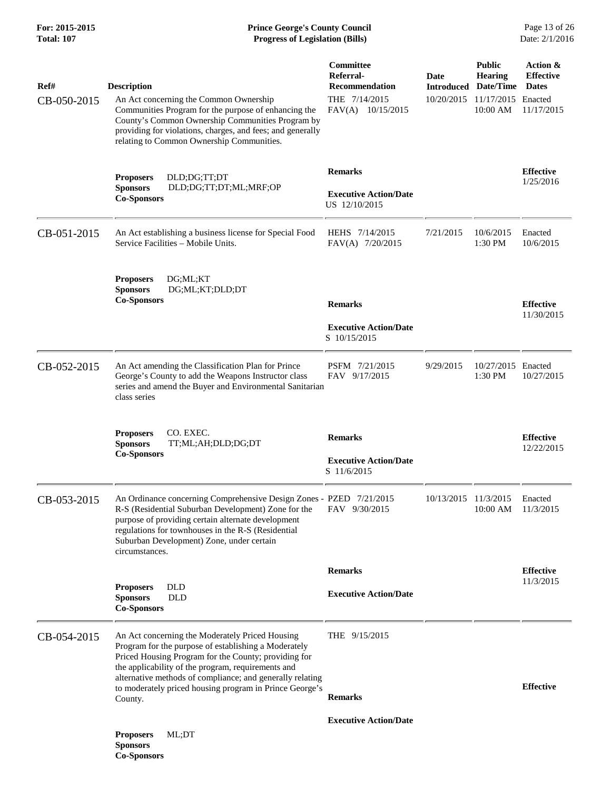### **For: 2015-2015 Prince George's County Council** Page 13 of 26<br> **Prince George's County Council** Page 13 of 26<br> **Progress of Legislation (Bills)** Date: 2/1/2016 **Total: 107 Progress of Legislation (Bills)**

| Ref#        | <b>Description</b>                                                                                                                                                                                                                                                                                    | Committee<br>Referral-<br><b>Recommendation</b> | Date<br><b>Introduced</b> | <b>Public</b><br><b>Hearing</b><br>Date/Time | Action &<br><b>Effective</b><br><b>Dates</b> |
|-------------|-------------------------------------------------------------------------------------------------------------------------------------------------------------------------------------------------------------------------------------------------------------------------------------------------------|-------------------------------------------------|---------------------------|----------------------------------------------|----------------------------------------------|
| CB-050-2015 | An Act concerning the Common Ownership<br>Communities Program for the purpose of enhancing the<br>County's Common Ownership Communities Program by<br>providing for violations, charges, and fees; and generally<br>relating to Common Ownership Communities.                                         | THE 7/14/2015<br>FAV(A) 10/15/2015              | 10/20/2015                | 11/17/2015 Enacted<br>10:00 AM               | 11/17/2015                                   |
|             | DLD;DG;TT;DT<br><b>Proposers</b>                                                                                                                                                                                                                                                                      | <b>Remarks</b>                                  |                           |                                              | <b>Effective</b><br>1/25/2016                |
|             | <b>Sponsors</b><br>DLD;DG;TT;DT;ML;MRF;OP<br><b>Co-Sponsors</b>                                                                                                                                                                                                                                       | <b>Executive Action/Date</b><br>US 12/10/2015   |                           |                                              |                                              |
| CB-051-2015 | An Act establishing a business license for Special Food<br>Service Facilities - Mobile Units.                                                                                                                                                                                                         | HEHS 7/14/2015<br>FAV(A) 7/20/2015              | 7/21/2015                 | 10/6/2015<br>1:30 PM                         | Enacted<br>10/6/2015                         |
|             | <b>Proposers</b><br>DG;ML;KT<br><b>Sponsors</b><br>DG;ML;KT;DLD;DT<br><b>Co-Sponsors</b>                                                                                                                                                                                                              | <b>Remarks</b>                                  |                           |                                              | <b>Effective</b>                             |
|             |                                                                                                                                                                                                                                                                                                       |                                                 |                           |                                              | 11/30/2015                                   |
|             |                                                                                                                                                                                                                                                                                                       | <b>Executive Action/Date</b><br>S 10/15/2015    |                           |                                              |                                              |
| CB-052-2015 | An Act amending the Classification Plan for Prince<br>George's County to add the Weapons Instructor class<br>series and amend the Buyer and Environmental Sanitarian<br>class series                                                                                                                  | PSFM 7/21/2015<br>FAV 9/17/2015                 | 9/29/2015                 | 10/27/2015 Enacted<br>1:30 PM                | 10/27/2015                                   |
|             | CO. EXEC.<br><b>Proposers</b><br><b>Sponsors</b><br>TT;ML;AH;DLD;DG;DT                                                                                                                                                                                                                                | <b>Remarks</b>                                  |                           |                                              | <b>Effective</b><br>12/22/2015               |
|             | <b>Co-Sponsors</b>                                                                                                                                                                                                                                                                                    | <b>Executive Action/Date</b><br>S 11/6/2015     |                           |                                              |                                              |
| CB-053-2015 | An Ordinance concerning Comprehensive Design Zones - PZED 7/21/2015<br>R-S (Residential Suburban Development) Zone for the<br>purpose of providing certain alternate development<br>regulations for townhouses in the R-S (Residential<br>Suburban Development) Zone, under certain<br>circumstances. | FAV 9/30/2015                                   | 10/13/2015 11/3/2015      | 10:00 AM                                     | Enacted<br>11/3/2015                         |
|             |                                                                                                                                                                                                                                                                                                       | <b>Remarks</b>                                  |                           |                                              | <b>Effective</b>                             |
|             | <b>Proposers</b><br><b>DLD</b><br><b>DLD</b><br><b>Sponsors</b><br><b>Co-Sponsors</b>                                                                                                                                                                                                                 | <b>Executive Action/Date</b>                    |                           |                                              | 11/3/2015                                    |
| CB-054-2015 | An Act concerning the Moderately Priced Housing<br>Program for the purpose of establishing a Moderately<br>Priced Housing Program for the County; providing for<br>the applicability of the program, requirements and                                                                                 | THE $9/15/2015$                                 |                           |                                              |                                              |
|             | alternative methods of compliance; and generally relating<br>to moderately priced housing program in Prince George's<br>County.                                                                                                                                                                       | <b>Remarks</b>                                  |                           |                                              | <b>Effective</b>                             |
|             |                                                                                                                                                                                                                                                                                                       | <b>Executive Action/Date</b>                    |                           |                                              |                                              |
|             | <b>Proposers</b><br>ML:DT<br><b>Sponsors</b><br><b>Co-Sponsors</b>                                                                                                                                                                                                                                    |                                                 |                           |                                              |                                              |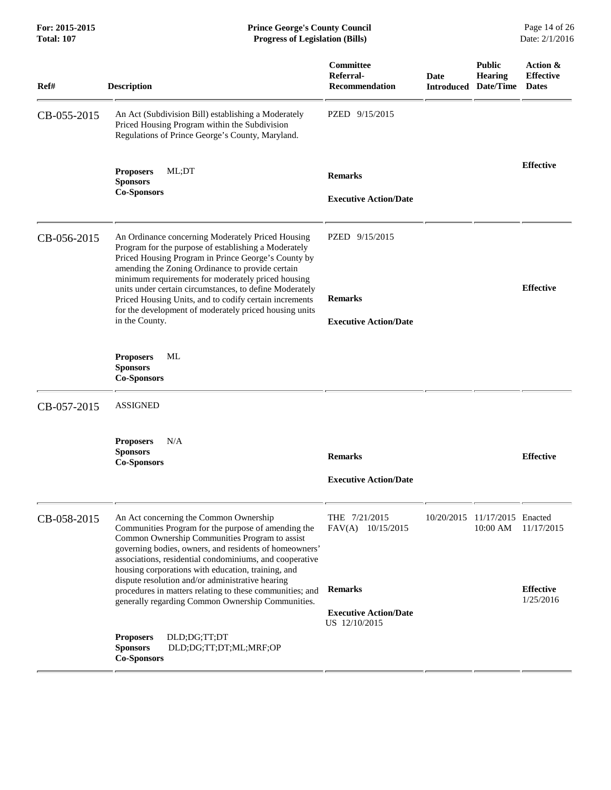| Ref#        | <b>Description</b>                                                                                                                                                                                                                                  |                                                                                                                                                                                                                                                                                                                                                                                | Committee<br>Referral-<br><b>Recommendation</b> | Date | <b>Public</b><br><b>Hearing</b><br><b>Introduced Date/Time</b> | Action &<br><b>Effective</b><br><b>Dates</b> |
|-------------|-----------------------------------------------------------------------------------------------------------------------------------------------------------------------------------------------------------------------------------------------------|--------------------------------------------------------------------------------------------------------------------------------------------------------------------------------------------------------------------------------------------------------------------------------------------------------------------------------------------------------------------------------|-------------------------------------------------|------|----------------------------------------------------------------|----------------------------------------------|
| CB-055-2015 | An Act (Subdivision Bill) establishing a Moderately<br>Priced Housing Program within the Subdivision<br>Regulations of Prince George's County, Maryland.                                                                                            |                                                                                                                                                                                                                                                                                                                                                                                | PZED 9/15/2015                                  |      |                                                                |                                              |
|             | <b>Proposers</b>                                                                                                                                                                                                                                    | ML;DT                                                                                                                                                                                                                                                                                                                                                                          | <b>Remarks</b>                                  |      |                                                                | <b>Effective</b>                             |
|             | <b>Sponsors</b><br><b>Co-Sponsors</b>                                                                                                                                                                                                               |                                                                                                                                                                                                                                                                                                                                                                                | <b>Executive Action/Date</b>                    |      |                                                                |                                              |
| CB-056-2015 |                                                                                                                                                                                                                                                     | An Ordinance concerning Moderately Priced Housing<br>Program for the purpose of establishing a Moderately<br>Priced Housing Program in Prince George's County by<br>amending the Zoning Ordinance to provide certain                                                                                                                                                           | PZED 9/15/2015                                  |      |                                                                |                                              |
|             | minimum requirements for moderately priced housing<br>units under certain circumstances, to define Moderately<br>Priced Housing Units, and to codify certain increments<br>for the development of moderately priced housing units<br>in the County. | <b>Remarks</b><br><b>Executive Action/Date</b>                                                                                                                                                                                                                                                                                                                                 |                                                 |      | <b>Effective</b>                                               |                                              |
|             | <b>Proposers</b><br><b>Sponsors</b><br><b>Co-Sponsors</b>                                                                                                                                                                                           | ML                                                                                                                                                                                                                                                                                                                                                                             |                                                 |      |                                                                |                                              |
| CB-057-2015 | <b>ASSIGNED</b>                                                                                                                                                                                                                                     |                                                                                                                                                                                                                                                                                                                                                                                |                                                 |      |                                                                |                                              |
|             | <b>Proposers</b><br><b>Sponsors</b><br><b>Co-Sponsors</b>                                                                                                                                                                                           | N/A                                                                                                                                                                                                                                                                                                                                                                            | <b>Remarks</b><br><b>Executive Action/Date</b>  |      |                                                                | <b>Effective</b>                             |
|             |                                                                                                                                                                                                                                                     |                                                                                                                                                                                                                                                                                                                                                                                |                                                 |      |                                                                |                                              |
| CB-058-2015 |                                                                                                                                                                                                                                                     | An Act concerning the Common Ownership<br>Communities Program for the purpose of amending the<br>Common Ownership Communities Program to assist<br>governing bodies, owners, and residents of homeowners'<br>associations, residential condominiums, and cooperative<br>housing corporations with education, training, and<br>dispute resolution and/or administrative hearing | THE 7/21/2015<br>FAV(A) 10/15/2015              |      | 10/20/2015 11/17/2015 Enacted<br>$10:00$ AM                    | 11/17/2015                                   |
|             |                                                                                                                                                                                                                                                     | procedures in matters relating to these communities; and<br>generally regarding Common Ownership Communities.                                                                                                                                                                                                                                                                  | <b>Remarks</b>                                  |      |                                                                | <b>Effective</b><br>1/25/2016                |
|             |                                                                                                                                                                                                                                                     |                                                                                                                                                                                                                                                                                                                                                                                | <b>Executive Action/Date</b><br>US 12/10/2015   |      |                                                                |                                              |
|             | <b>Proposers</b><br><b>Sponsors</b><br><b>Co-Sponsors</b>                                                                                                                                                                                           | DLD;DG;TT;DT<br>DLD;DG;TT;DT;ML;MRF;OP                                                                                                                                                                                                                                                                                                                                         |                                                 |      |                                                                |                                              |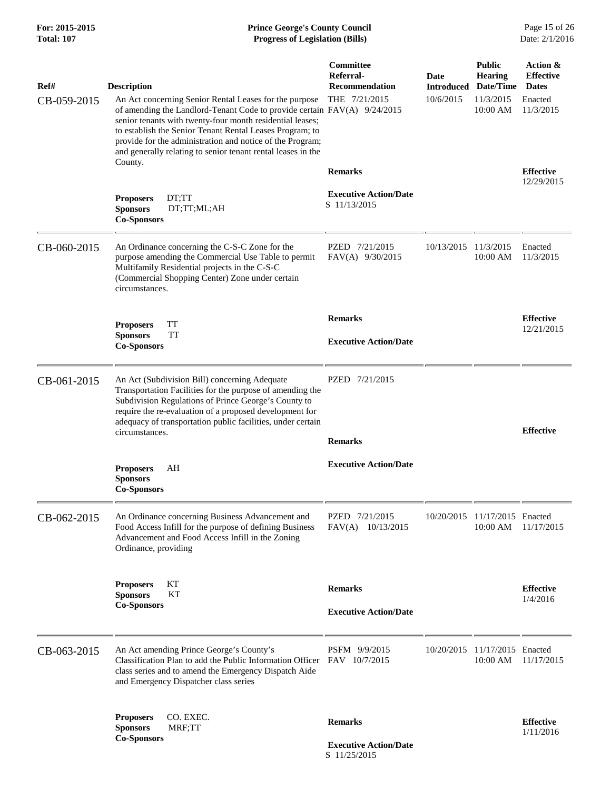## **For: 2015-2015 Prince George's County Council** Page 15 of 26<br> **Prince George's County Council** Page 15 of 26<br> **Progress of Legislation (Bills)** Date: 2/1/2016 **Total: 107 Progress of Legislation (Bills)**

| Ref#        | <b>Description</b>                                                                                                                                                                                                                                                                                                                                                                       | Committee<br>Referral-<br><b>Recommendation</b> | Date<br><b>Introduced</b> | <b>Public</b><br><b>Hearing</b><br>Date/Time | Action &<br><b>Effective</b><br><b>Dates</b> |
|-------------|------------------------------------------------------------------------------------------------------------------------------------------------------------------------------------------------------------------------------------------------------------------------------------------------------------------------------------------------------------------------------------------|-------------------------------------------------|---------------------------|----------------------------------------------|----------------------------------------------|
| CB-059-2015 | An Act concerning Senior Rental Leases for the purpose<br>of amending the Landlord-Tenant Code to provide certain FAV(A) 9/24/2015<br>senior tenants with twenty-four month residential leases;<br>to establish the Senior Tenant Rental Leases Program; to<br>provide for the administration and notice of the Program;<br>and generally relating to senior tenant rental leases in the | THE 7/21/2015                                   | 10/6/2015                 | 11/3/2015<br>10:00 AM                        | Enacted<br>11/3/2015                         |
|             | County.                                                                                                                                                                                                                                                                                                                                                                                  | <b>Remarks</b>                                  |                           |                                              | <b>Effective</b><br>12/29/2015               |
|             | <b>Proposers</b><br>DT;TT<br>DT;TT;ML;AH<br><b>Sponsors</b><br><b>Co-Sponsors</b>                                                                                                                                                                                                                                                                                                        | <b>Executive Action/Date</b><br>S 11/13/2015    |                           |                                              |                                              |
| CB-060-2015 | An Ordinance concerning the C-S-C Zone for the<br>purpose amending the Commercial Use Table to permit<br>Multifamily Residential projects in the C-S-C<br>(Commercial Shopping Center) Zone under certain<br>circumstances.                                                                                                                                                              | PZED 7/21/2015<br>FAV(A) 9/30/2015              | 10/13/2015                | 11/3/2015<br>10:00 AM                        | Enacted<br>11/3/2015                         |
|             | <b>TT</b><br><b>Proposers</b>                                                                                                                                                                                                                                                                                                                                                            | <b>Remarks</b>                                  |                           |                                              | <b>Effective</b>                             |
|             | TT<br><b>Sponsors</b><br><b>Co-Sponsors</b>                                                                                                                                                                                                                                                                                                                                              | <b>Executive Action/Date</b>                    |                           |                                              | 12/21/2015                                   |
| CB-061-2015 | An Act (Subdivision Bill) concerning Adequate<br>Transportation Facilities for the purpose of amending the<br>Subdivision Regulations of Prince George's County to<br>require the re-evaluation of a proposed development for<br>adequacy of transportation public facilities, under certain<br>circumstances.                                                                           | PZED 7/21/2015                                  |                           |                                              |                                              |
|             |                                                                                                                                                                                                                                                                                                                                                                                          | <b>Remarks</b>                                  |                           |                                              | <b>Effective</b>                             |
|             | <b>Proposers</b><br>AH<br><b>Sponsors</b><br><b>Co-Sponsors</b>                                                                                                                                                                                                                                                                                                                          | <b>Executive Action/Date</b>                    |                           |                                              |                                              |
| CB-062-2015 | An Ordinance concerning Business Advancement and<br>Food Access Infill for the purpose of defining Business<br>Advancement and Food Access Infill in the Zoning<br>Ordinance, providing                                                                                                                                                                                                  | PZED 7/21/2015<br>FAV(A) 10/13/2015             |                           | 10/20/2015 11/17/2015 Enacted<br>10:00 AM    | 11/17/2015                                   |
|             | <b>Proposers</b><br>KТ<br>КT<br><b>Sponsors</b>                                                                                                                                                                                                                                                                                                                                          | <b>Remarks</b>                                  |                           |                                              | <b>Effective</b><br>1/4/2016                 |
|             | <b>Co-Sponsors</b>                                                                                                                                                                                                                                                                                                                                                                       | <b>Executive Action/Date</b>                    |                           |                                              |                                              |
| CB-063-2015 | An Act amending Prince George's County's<br>Classification Plan to add the Public Information Officer FAV 10/7/2015<br>class series and to amend the Emergency Dispatch Aide<br>and Emergency Dispatcher class series                                                                                                                                                                    | PSFM 9/9/2015                                   |                           | 10/20/2015 11/17/2015 Enacted<br>10:00 AM    | 11/17/2015                                   |
|             | CO. EXEC.<br><b>Proposers</b><br><b>Sponsors</b><br>MRF;TT                                                                                                                                                                                                                                                                                                                               | <b>Remarks</b>                                  |                           |                                              | <b>Effective</b>                             |
|             | <b>Co-Sponsors</b>                                                                                                                                                                                                                                                                                                                                                                       | <b>Executive Action/Date</b>                    |                           |                                              | 1/11/2016                                    |

S 11/25/2015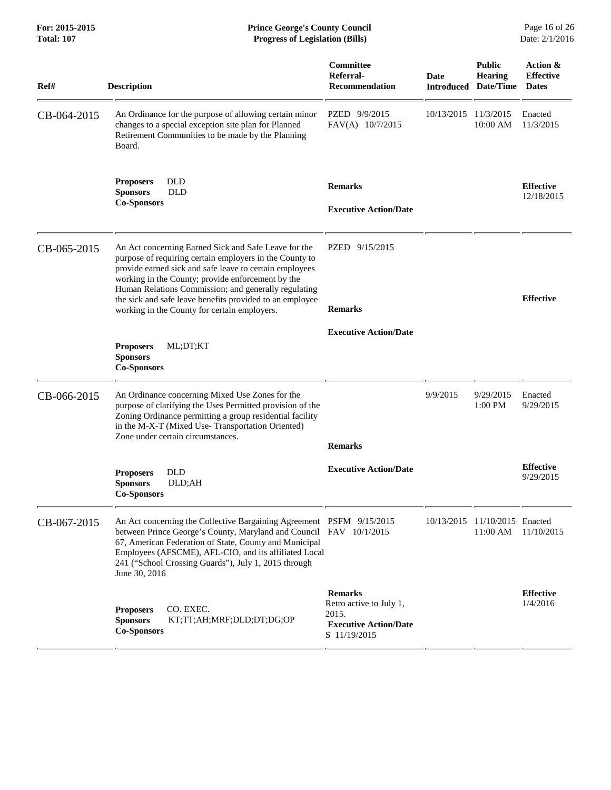**For: 2015-2015 Prince George's County Council** Page 16 of 26<br> **Prince George's County Council** Page 16 of 26<br> **Progress of Legislation (Bills)** Date: 2/1/2016 **Total: 107 Progress of Legislation (Bills)** 

| Ref#        | <b>Description</b>                                                                                                                                                                                                                                                                                                                                                                                  | Committee<br>Referral-<br><b>Recommendation</b>                                                    | Date<br><b>Introduced</b> | <b>Public</b><br><b>Hearing</b><br>Date/Time | Action &<br><b>Effective</b><br><b>Dates</b> |
|-------------|-----------------------------------------------------------------------------------------------------------------------------------------------------------------------------------------------------------------------------------------------------------------------------------------------------------------------------------------------------------------------------------------------------|----------------------------------------------------------------------------------------------------|---------------------------|----------------------------------------------|----------------------------------------------|
| CB-064-2015 | An Ordinance for the purpose of allowing certain minor<br>changes to a special exception site plan for Planned<br>Retirement Communities to be made by the Planning<br>Board.                                                                                                                                                                                                                       | PZED 9/9/2015<br>FAV(A) 10/7/2015                                                                  | 10/13/2015                | 11/3/2015<br>10:00 AM                        | Enacted<br>11/3/2015                         |
|             | <b>DLD</b><br><b>Proposers</b><br><b>Sponsors</b><br><b>DLD</b><br><b>Co-Sponsors</b>                                                                                                                                                                                                                                                                                                               | <b>Remarks</b><br><b>Executive Action/Date</b>                                                     |                           |                                              | <b>Effective</b><br>12/18/2015               |
| CB-065-2015 | An Act concerning Earned Sick and Safe Leave for the<br>purpose of requiring certain employers in the County to<br>provide earned sick and safe leave to certain employees<br>working in the County; provide enforcement by the<br>Human Relations Commission; and generally regulating<br>the sick and safe leave benefits provided to an employee<br>working in the County for certain employers. | PZED 9/15/2015<br><b>Remarks</b>                                                                   |                           |                                              | <b>Effective</b>                             |
|             | ML;DT;KT<br><b>Proposers</b><br><b>Sponsors</b><br><b>Co-Sponsors</b>                                                                                                                                                                                                                                                                                                                               | <b>Executive Action/Date</b>                                                                       |                           |                                              |                                              |
| CB-066-2015 | An Ordinance concerning Mixed Use Zones for the<br>purpose of clarifying the Uses Permitted provision of the<br>Zoning Ordinance permitting a group residential facility<br>in the M-X-T (Mixed Use- Transportation Oriented)<br>Zone under certain circumstances.                                                                                                                                  | <b>Remarks</b>                                                                                     | 9/9/2015                  | 9/29/2015<br>$1:00$ PM                       | Enacted<br>9/29/2015                         |
|             | <b>DLD</b><br><b>Proposers</b><br><b>Sponsors</b><br>DLD;AH<br><b>Co-Sponsors</b>                                                                                                                                                                                                                                                                                                                   | <b>Executive Action/Date</b>                                                                       |                           |                                              | <b>Effective</b><br>9/29/2015                |
| CB-067-2015 | An Act concerning the Collective Bargaining Agreement PSFM 9/15/2015<br>between Prince George's County, Maryland and Council FAV 10/1/2015<br>67, American Federation of State, County and Municipal<br>Employees (AFSCME), AFL-CIO, and its affiliated Local<br>241 ("School Crossing Guards"), July 1, 2015 through<br>June 30, 2016                                                              |                                                                                                    |                           | 10/13/2015 11/10/2015 Enacted<br>11:00 AM    | 11/10/2015                                   |
|             | CO. EXEC.<br><b>Proposers</b><br><b>Sponsors</b><br>KT;TT;AH;MRF;DLD;DT;DG;OP<br><b>Co-Sponsors</b>                                                                                                                                                                                                                                                                                                 | <b>Remarks</b><br>Retro active to July 1,<br>2015.<br><b>Executive Action/Date</b><br>S 11/19/2015 |                           |                                              | <b>Effective</b><br>1/4/2016                 |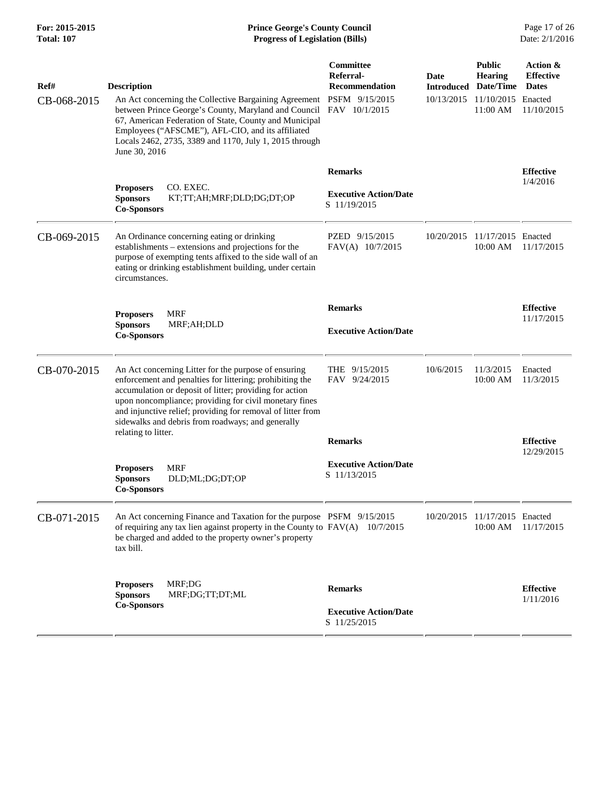| Ref#<br>CB-068-2015 | <b>Description</b><br>An Act concerning the Collective Bargaining Agreement<br>between Prince George's County, Maryland and Council<br>67, American Federation of State, County and Municipal<br>Employees ("AFSCME"), AFL-CIO, and its affiliated                                                                                                                               | Committee<br>Referral-<br><b>Recommendation</b><br>PSFM 9/15/2015<br>FAV 10/1/2015 | Date<br>10/13/2015 | <b>Public</b><br><b>Hearing</b><br><b>Introduced Date/Time</b><br>11/10/2015 Enacted<br>11:00 AM | Action &<br><b>Effective</b><br><b>Dates</b><br>11/10/2015 |
|---------------------|----------------------------------------------------------------------------------------------------------------------------------------------------------------------------------------------------------------------------------------------------------------------------------------------------------------------------------------------------------------------------------|------------------------------------------------------------------------------------|--------------------|--------------------------------------------------------------------------------------------------|------------------------------------------------------------|
|                     | Locals 2462, 2735, 3389 and 1170, July 1, 2015 through<br>June 30, 2016<br>CO. EXEC.<br><b>Proposers</b>                                                                                                                                                                                                                                                                         | <b>Remarks</b>                                                                     |                    |                                                                                                  | <b>Effective</b><br>1/4/2016                               |
|                     | <b>Sponsors</b><br>KT;TT;AH;MRF;DLD;DG;DT;OP<br><b>Co-Sponsors</b>                                                                                                                                                                                                                                                                                                               | <b>Executive Action/Date</b><br>S 11/19/2015                                       |                    |                                                                                                  |                                                            |
| CB-069-2015         | An Ordinance concerning eating or drinking<br>establishments - extensions and projections for the<br>purpose of exempting tents affixed to the side wall of an<br>eating or drinking establishment building, under certain<br>circumstances.                                                                                                                                     | PZED 9/15/2015<br>FAV(A) 10/7/2015                                                 | 10/20/2015         | 11/17/2015 Enacted<br>10:00 AM                                                                   | 11/17/2015                                                 |
|                     | <b>MRF</b><br><b>Proposers</b><br><b>Sponsors</b><br>MRF;AH;DLD<br><b>Co-Sponsors</b>                                                                                                                                                                                                                                                                                            | <b>Remarks</b><br><b>Executive Action/Date</b>                                     |                    |                                                                                                  | <b>Effective</b><br>11/17/2015                             |
| CB-070-2015         | An Act concerning Litter for the purpose of ensuring<br>enforcement and penalties for littering; prohibiting the<br>accumulation or deposit of litter; providing for action<br>upon noncompliance; providing for civil monetary fines<br>and injunctive relief; providing for removal of litter from<br>sidewalks and debris from roadways; and generally<br>relating to litter. | THE 9/15/2015<br>FAV 9/24/2015                                                     | 10/6/2015          | 11/3/2015<br>10:00 AM                                                                            | Enacted<br>11/3/2015                                       |
|                     |                                                                                                                                                                                                                                                                                                                                                                                  | <b>Remarks</b>                                                                     |                    |                                                                                                  | <b>Effective</b><br>12/29/2015                             |
|                     | <b>MRF</b><br><b>Proposers</b><br>DLD;ML;DG;DT;OP<br><b>Sponsors</b><br><b>Co-Sponsors</b>                                                                                                                                                                                                                                                                                       | <b>Executive Action/Date</b><br>S 11/13/2015                                       |                    |                                                                                                  |                                                            |
| CB-071-2015         | An Act concerning Finance and Taxation for the purpose PSFM 9/15/2015<br>of requiring any tax lien against property in the County to $FAV(A)$ 10/7/2015<br>be charged and added to the property owner's property<br>tax bill.                                                                                                                                                    |                                                                                    |                    | 10/20/2015 11/17/2015 Enacted<br>10:00 AM                                                        | 11/17/2015                                                 |
|                     | MRF;DG<br><b>Proposers</b><br>MRF;DG;TT;DT;ML<br><b>Sponsors</b><br><b>Co-Sponsors</b>                                                                                                                                                                                                                                                                                           | <b>Remarks</b><br><b>Executive Action/Date</b><br>S 11/25/2015                     |                    |                                                                                                  | <b>Effective</b><br>1/11/2016                              |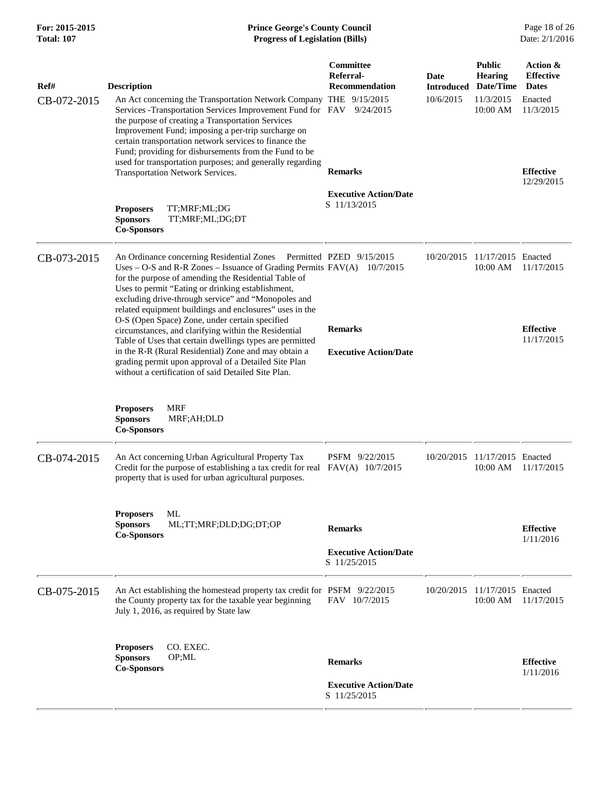| For: 2015-2015    |
|-------------------|
| <b>Total: 107</b> |

## **Prince George's County Council** Page 18 of 26<br>**Progress of Legislation (Bills)** Date: 2/1/2016  $Progress$  of Legislation (Bills)

| Ref#<br>CB-072-2015 | <b>Description</b><br>An Act concerning the Transportation Network Company THE 9/15/2015<br>Services - Transportation Services Improvement Fund for FAV<br>the purpose of creating a Transportation Services<br>Improvement Fund; imposing a per-trip surcharge on<br>certain transportation network services to finance the<br>Fund; providing for disbursements from the Fund to be<br>used for transportation purposes; and generally regarding<br>Transportation Network Services.<br>TT;MRF;ML;DG<br><b>Proposers</b><br><b>Sponsors</b><br>TT;MRF;ML;DG;DT                                                                                                                                                                                  | Committee<br>Referral-<br><b>Recommendation</b><br>9/24/2015<br><b>Remarks</b><br><b>Executive Action/Date</b><br>S 11/13/2015 | <b>Date</b><br><b>Introduced</b><br>10/6/2015 | <b>Public</b><br><b>Hearing</b><br>Date/Time<br>11/3/2015<br>10:00 AM | Action &<br><b>Effective</b><br><b>Dates</b><br>Enacted<br>11/3/2015<br><b>Effective</b><br>12/29/2015 |
|---------------------|---------------------------------------------------------------------------------------------------------------------------------------------------------------------------------------------------------------------------------------------------------------------------------------------------------------------------------------------------------------------------------------------------------------------------------------------------------------------------------------------------------------------------------------------------------------------------------------------------------------------------------------------------------------------------------------------------------------------------------------------------|--------------------------------------------------------------------------------------------------------------------------------|-----------------------------------------------|-----------------------------------------------------------------------|--------------------------------------------------------------------------------------------------------|
| CB-073-2015         | <b>Co-Sponsors</b><br>An Ordinance concerning Residential Zones Permitted PZED 9/15/2015<br>Uses – O-S and R-R Zones – Issuance of Grading Permits $FAV(A)$ 10/7/2015<br>for the purpose of amending the Residential Table of<br>Uses to permit "Eating or drinking establishment,<br>excluding drive-through service" and "Monopoles and<br>related equipment buildings and enclosures" uses in the<br>O-S (Open Space) Zone, under certain specified<br>circumstances, and clarifying within the Residential<br>Table of Uses that certain dwellings types are permitted<br>in the R-R (Rural Residential) Zone and may obtain a<br>grading permit upon approval of a Detailed Site Plan<br>without a certification of said Detailed Site Plan. | <b>Remarks</b><br><b>Executive Action/Date</b>                                                                                 |                                               | 10/20/2015 11/17/2015 Enacted<br>10:00 AM                             | 11/17/2015<br><b>Effective</b><br>11/17/2015                                                           |
|                     | <b>MRF</b><br><b>Proposers</b><br><b>Sponsors</b><br>MRF;AH;DLD<br><b>Co-Sponsors</b>                                                                                                                                                                                                                                                                                                                                                                                                                                                                                                                                                                                                                                                             |                                                                                                                                |                                               |                                                                       |                                                                                                        |
| CB-074-2015         | An Act concerning Urban Agricultural Property Tax<br>Credit for the purpose of establishing a tax credit for real<br>property that is used for urban agricultural purposes.                                                                                                                                                                                                                                                                                                                                                                                                                                                                                                                                                                       | PSFM 9/22/2015<br>FAV(A) 10/7/2015                                                                                             | 10/20/2015                                    | 11/17/2015 Enacted<br>10:00 AM                                        | 11/17/2015                                                                                             |
|                     | ML<br><b>Proposers</b><br><b>Sponsors</b><br>ML;TT;MRF;DLD;DG;DT;OP<br><b>Co-Sponsors</b>                                                                                                                                                                                                                                                                                                                                                                                                                                                                                                                                                                                                                                                         | <b>Remarks</b><br><b>Executive Action/Date</b><br>S 11/25/2015                                                                 |                                               |                                                                       | <b>Effective</b><br>1/11/2016                                                                          |
| CB-075-2015         | An Act establishing the homestead property tax credit for PSFM 9/22/2015<br>the County property tax for the taxable year beginning<br>July 1, 2016, as required by State law                                                                                                                                                                                                                                                                                                                                                                                                                                                                                                                                                                      | FAV 10/7/2015                                                                                                                  | 10/20/2015                                    | 11/17/2015 Enacted<br>10:00 AM                                        | 11/17/2015                                                                                             |
|                     | <b>Proposers</b><br>CO. EXEC.<br><b>Sponsors</b><br>OP;ML<br><b>Co-Sponsors</b>                                                                                                                                                                                                                                                                                                                                                                                                                                                                                                                                                                                                                                                                   | <b>Remarks</b><br><b>Executive Action/Date</b><br>S 11/25/2015                                                                 |                                               |                                                                       | <b>Effective</b><br>1/11/2016                                                                          |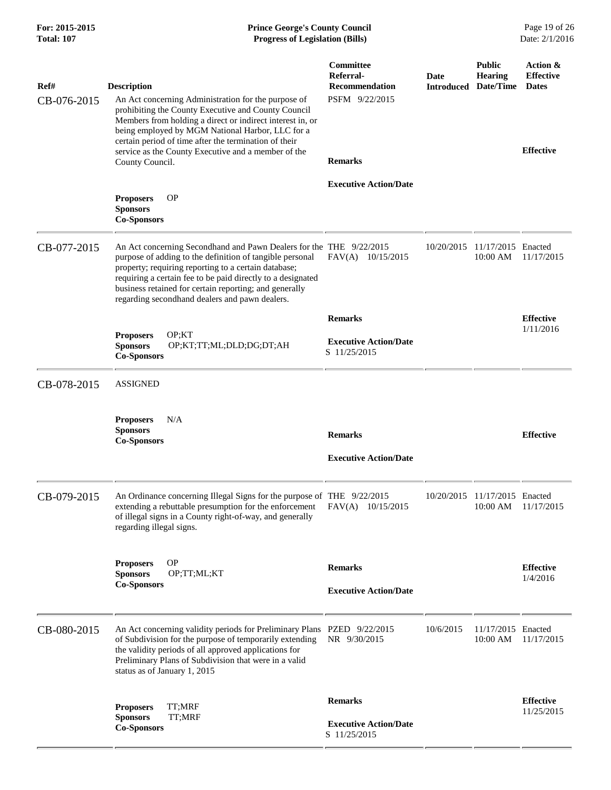| For: 2015-2015<br><b>Total: 107</b> | <b>Prince George's County Council</b><br>Date: 2/1/2016<br><b>Progress of Legislation (Bills)</b>                                                                                                                                                                                                                                                                                    |                                                                                            |            |                                                         |                                                                  |
|-------------------------------------|--------------------------------------------------------------------------------------------------------------------------------------------------------------------------------------------------------------------------------------------------------------------------------------------------------------------------------------------------------------------------------------|--------------------------------------------------------------------------------------------|------------|---------------------------------------------------------|------------------------------------------------------------------|
| Ref#<br>CB-076-2015                 | <b>Description</b><br>An Act concerning Administration for the purpose of<br>prohibiting the County Executive and County Council<br>Members from holding a direct or indirect interest in, or<br>being employed by MGM National Harbor, LLC for a<br>certain period of time after the termination of their<br>service as the County Executive and a member of the<br>County Council. | <b>Committee</b><br>Referral-<br><b>Recommendation</b><br>PSFM 9/22/2015<br><b>Remarks</b> | Date       | <b>Public</b><br>Hearing<br><b>Introduced Date/Time</b> | Action &<br><b>Effective</b><br><b>Dates</b><br><b>Effective</b> |
|                                     | <b>OP</b><br><b>Proposers</b><br><b>Sponsors</b><br><b>Co-Sponsors</b>                                                                                                                                                                                                                                                                                                               | <b>Executive Action/Date</b>                                                               |            |                                                         |                                                                  |
| CB-077-2015                         | An Act concerning Secondhand and Pawn Dealers for the THE 9/22/2015<br>purpose of adding to the definition of tangible personal<br>property; requiring reporting to a certain database;<br>requiring a certain fee to be paid directly to a designated<br>business retained for certain reporting; and generally<br>regarding secondhand dealers and pawn dealers.                   | FAV(A) 10/15/2015                                                                          | 10/20/2015 | 11/17/2015 Enacted<br>10:00 AM                          | 11/17/2015                                                       |
|                                     | OP; KT<br><b>Proposers</b><br><b>Sponsors</b><br>OP;KT;TT;ML;DLD;DG;DT;AH<br><b>Co-Sponsors</b>                                                                                                                                                                                                                                                                                      | <b>Remarks</b><br><b>Executive Action/Date</b><br>S 11/25/2015                             |            |                                                         | <b>Effective</b><br>1/11/2016                                    |
| CB-078-2015                         | <b>ASSIGNED</b>                                                                                                                                                                                                                                                                                                                                                                      |                                                                                            |            |                                                         |                                                                  |
|                                     | <b>Proposers</b><br>N/A<br><b>Sponsors</b><br><b>Co-Sponsors</b>                                                                                                                                                                                                                                                                                                                     | <b>Remarks</b><br><b>Executive Action/Date</b>                                             |            |                                                         | <b>Effective</b>                                                 |
| CB-079-2015                         | An Ordinance concerning Illegal Signs for the purpose of THE 9/22/2015<br>extending a rebuttable presumption for the enforcement<br>of illegal signs in a County right-of-way, and generally<br>regarding illegal signs.                                                                                                                                                             | FAV(A) 10/15/2015                                                                          |            | 10/20/2015 11/17/2015 Enacted<br>10:00 AM               | 11/17/2015                                                       |
|                                     | <b>OP</b><br><b>Proposers</b><br>OP;TT;ML;KT<br><b>Sponsors</b><br><b>Co-Sponsors</b>                                                                                                                                                                                                                                                                                                | <b>Remarks</b><br><b>Executive Action/Date</b>                                             |            |                                                         | <b>Effective</b><br>1/4/2016                                     |
| CB-080-2015                         | An Act concerning validity periods for Preliminary Plans PZED 9/22/2015<br>of Subdivision for the purpose of temporarily extending<br>the validity periods of all approved applications for<br>Preliminary Plans of Subdivision that were in a valid<br>status as of January 1, 2015                                                                                                 | NR 9/30/2015                                                                               | 10/6/2015  | 11/17/2015 Enacted<br>10:00 AM                          | 11/17/2015                                                       |
|                                     | TT;MRF<br><b>Proposers</b><br>TT;MRF<br><b>Sponsors</b><br><b>Co-Sponsors</b>                                                                                                                                                                                                                                                                                                        | <b>Remarks</b><br><b>Executive Action/Date</b><br>S 11/25/2015                             |            |                                                         | <b>Effective</b><br>11/25/2015                                   |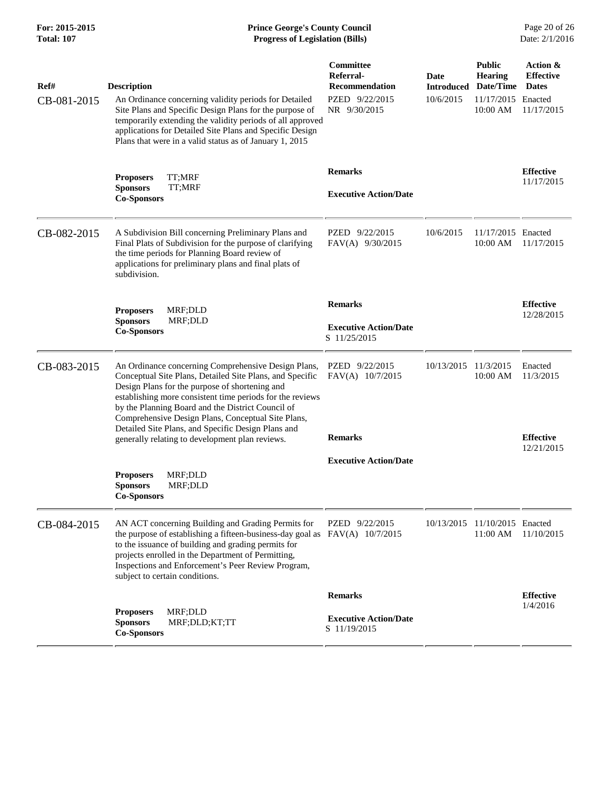## **For: 2015-2015 Prince George's County Council** Page 20 of 26<br> **Prince George's County Council** Page 20 of 26<br> **Progress of Legislation (Bills)** Date: 2/1/2016 **Total: 107 Progress of Legislation (Bills)**

| Ref#<br>CB-081-2015 | <b>Description</b><br>An Ordinance concerning validity periods for Detailed<br>Site Plans and Specific Design Plans for the purpose of<br>temporarily extending the validity periods of all approved<br>applications for Detailed Site Plans and Specific Design<br>Plans that were in a valid status as of January 1, 2015                                                                                                                        | Committee<br>Referral-<br><b>Recommendation</b><br>PZED 9/22/2015<br>NR 9/30/2015 | Date<br><b>Introduced</b><br>10/6/2015 | <b>Public</b><br><b>Hearing</b><br>Date/Time<br>11/17/2015 Enacted<br>10:00 AM | Action &<br><b>Effective</b><br><b>Dates</b><br>11/17/2015 |
|---------------------|----------------------------------------------------------------------------------------------------------------------------------------------------------------------------------------------------------------------------------------------------------------------------------------------------------------------------------------------------------------------------------------------------------------------------------------------------|-----------------------------------------------------------------------------------|----------------------------------------|--------------------------------------------------------------------------------|------------------------------------------------------------|
|                     | <b>Proposers</b><br>TT:MRF<br><b>Sponsors</b><br>TT;MRF<br><b>Co-Sponsors</b>                                                                                                                                                                                                                                                                                                                                                                      | <b>Remarks</b><br><b>Executive Action/Date</b>                                    |                                        |                                                                                | <b>Effective</b><br>11/17/2015                             |
| CB-082-2015         | A Subdivision Bill concerning Preliminary Plans and<br>Final Plats of Subdivision for the purpose of clarifying<br>the time periods for Planning Board review of<br>applications for preliminary plans and final plats of<br>subdivision.                                                                                                                                                                                                          | PZED 9/22/2015<br>FAV(A) 9/30/2015                                                | 10/6/2015                              | 11/17/2015 Enacted<br>10:00 AM                                                 | 11/17/2015                                                 |
|                     | MRF;DLD<br><b>Proposers</b><br><b>Sponsors</b><br>MRF;DLD<br><b>Co-Sponsors</b>                                                                                                                                                                                                                                                                                                                                                                    | <b>Remarks</b><br><b>Executive Action/Date</b><br>S 11/25/2015                    |                                        |                                                                                | <b>Effective</b><br>12/28/2015                             |
| CB-083-2015         | An Ordinance concerning Comprehensive Design Plans,<br>Conceptual Site Plans, Detailed Site Plans, and Specific<br>Design Plans for the purpose of shortening and<br>establishing more consistent time periods for the reviews<br>by the Planning Board and the District Council of<br>Comprehensive Design Plans, Conceptual Site Plans,<br>Detailed Site Plans, and Specific Design Plans and<br>generally relating to development plan reviews. | PZED 9/22/2015<br>FAV(A) 10/7/2015<br><b>Remarks</b>                              | 10/13/2015                             | 11/3/2015<br>10:00 AM                                                          | Enacted<br>11/3/2015<br><b>Effective</b>                   |
|                     | MRF;DLD<br><b>Proposers</b><br><b>Sponsors</b><br>MRF;DLD<br><b>Co-Sponsors</b>                                                                                                                                                                                                                                                                                                                                                                    | <b>Executive Action/Date</b>                                                      |                                        |                                                                                | 12/21/2015                                                 |
| CB-084-2015         | AN ACT concerning Building and Grading Permits for<br>the purpose of establishing a fifteen-business-day goal as $FAV(A)$ 10/7/2015<br>to the issuance of building and grading permits for<br>projects enrolled in the Department of Permitting,<br>Inspections and Enforcement's Peer Review Program,<br>subject to certain conditions.                                                                                                           | PZED 9/22/2015                                                                    |                                        | 10/13/2015 11/10/2015 Enacted<br>11:00 AM                                      | 11/10/2015                                                 |
|                     |                                                                                                                                                                                                                                                                                                                                                                                                                                                    | <b>Remarks</b>                                                                    |                                        |                                                                                | <b>Effective</b>                                           |
|                     | <b>Proposers</b><br>MRF;DLD<br><b>Sponsors</b><br>MRF;DLD;KT;TT<br><b>Co-Sponsors</b>                                                                                                                                                                                                                                                                                                                                                              | <b>Executive Action/Date</b><br>S 11/19/2015                                      |                                        |                                                                                | 1/4/2016                                                   |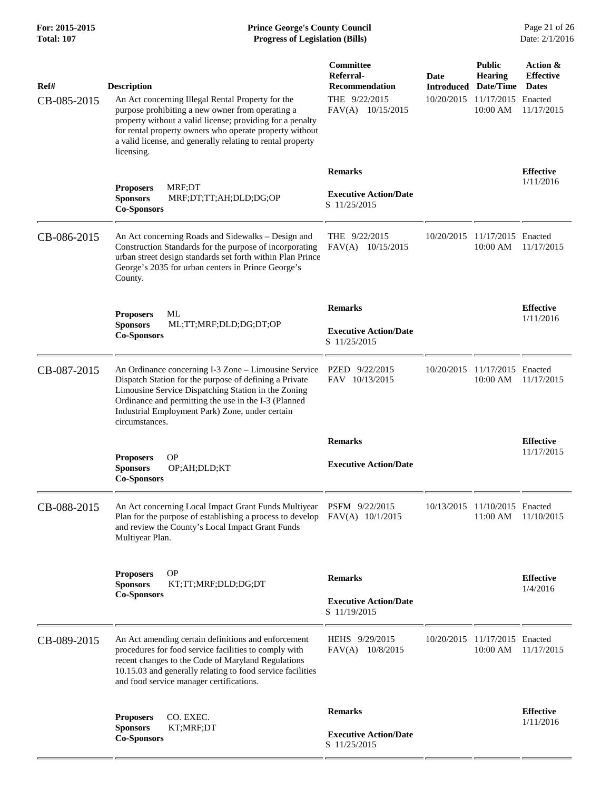## **For: 2015-2015 Prince George's County Council** Page 21 of 26<br> **Formal** Page 21 of 26<br> **Prince George's County Council** Page 21 of 26<br> **Progress of Legislation (Bills)** Date: 2/1/2016 **Total: 107 Progress of Legislation (Bills)**

| Ref#<br>CB-085-2015 | <b>Description</b><br>An Act concerning Illegal Rental Property for the<br>purpose prohibiting a new owner from operating a<br>property without a valid license; providing for a penalty<br>for rental property owners who operate property without<br>a valid license, and generally relating to rental property | <b>Committee</b><br>Referral-<br>Recommendation<br>THE 9/22/2015<br>FAV(A) 10/15/2015 | Date<br><b>Introduced</b><br>10/20/2015 | <b>Public</b><br><b>Hearing</b><br>Date/Time<br>11/17/2015 Enacted<br>10:00 AM | Action &<br><b>Effective</b><br><b>Dates</b><br>11/17/2015 |
|---------------------|-------------------------------------------------------------------------------------------------------------------------------------------------------------------------------------------------------------------------------------------------------------------------------------------------------------------|---------------------------------------------------------------------------------------|-----------------------------------------|--------------------------------------------------------------------------------|------------------------------------------------------------|
|                     | licensing.<br>MRF;DT<br><b>Proposers</b><br><b>Sponsors</b><br>MRF;DT;TT;AH;DLD;DG;OP<br><b>Co-Sponsors</b>                                                                                                                                                                                                       | <b>Remarks</b><br><b>Executive Action/Date</b><br>S 11/25/2015                        |                                         |                                                                                | <b>Effective</b><br>1/11/2016                              |
| CB-086-2015         | An Act concerning Roads and Sidewalks - Design and<br>Construction Standards for the purpose of incorporating<br>urban street design standards set forth within Plan Prince<br>George's 2035 for urban centers in Prince George's<br>County.                                                                      | THE 9/22/2015<br>FAV(A) 10/15/2015                                                    | 10/20/2015                              | 11/17/2015 Enacted<br>10:00 AM                                                 | 11/17/2015                                                 |
|                     | ML<br><b>Proposers</b><br><b>Sponsors</b><br>ML;TT;MRF;DLD;DG;DT;OP<br><b>Co-Sponsors</b>                                                                                                                                                                                                                         | <b>Remarks</b><br><b>Executive Action/Date</b><br>S 11/25/2015                        |                                         |                                                                                | <b>Effective</b><br>1/11/2016                              |
| CB-087-2015         | An Ordinance concerning I-3 Zone - Limousine Service<br>Dispatch Station for the purpose of defining a Private<br>Limousine Service Dispatching Station in the Zoning<br>Ordinance and permitting the use in the I-3 (Planned<br>Industrial Employment Park) Zone, under certain<br>circumstances.                | PZED 9/22/2015<br>FAV 10/13/2015                                                      | 10/20/2015                              | 11/17/2015 Enacted<br>10:00 AM                                                 | 11/17/2015                                                 |
|                     |                                                                                                                                                                                                                                                                                                                   | <b>Remarks</b>                                                                        |                                         |                                                                                | <b>Effective</b>                                           |
|                     | <b>OP</b><br><b>Proposers</b><br><b>Sponsors</b><br>OP;AH;DLD;KT<br><b>Co-Sponsors</b>                                                                                                                                                                                                                            | <b>Executive Action/Date</b>                                                          |                                         |                                                                                | 11/17/2015                                                 |
| CB-088-2015         | An Act concerning Local Impact Grant Funds Multiyear<br>Plan for the purpose of establishing a process to develop<br>and review the County's Local Impact Grant Funds<br>Multiyear Plan.                                                                                                                          | PSFM 9/22/2015<br>$FAV(A)$ 10/1/2015                                                  | 10/13/2015                              | 11/10/2015 Enacted<br>11:00 AM                                                 | 11/10/2015                                                 |
|                     | <b>OP</b><br><b>Proposers</b>                                                                                                                                                                                                                                                                                     | <b>Remarks</b>                                                                        |                                         |                                                                                | <b>Effective</b>                                           |
|                     | <b>Sponsors</b><br>KT;TT;MRF;DLD;DG;DT<br><b>Co-Sponsors</b>                                                                                                                                                                                                                                                      | <b>Executive Action/Date</b><br>S 11/19/2015                                          |                                         |                                                                                | 1/4/2016                                                   |
| CB-089-2015         | An Act amending certain definitions and enforcement<br>procedures for food service facilities to comply with<br>recent changes to the Code of Maryland Regulations<br>10.15.03 and generally relating to food service facilities<br>and food service manager certifications.                                      | HEHS 9/29/2015<br>$FAV(A)$ 10/8/2015                                                  | 10/20/2015                              | 11/17/2015 Enacted<br>10:00 AM                                                 | 11/17/2015                                                 |
|                     | CO. EXEC.                                                                                                                                                                                                                                                                                                         | <b>Remarks</b>                                                                        |                                         |                                                                                | <b>Effective</b>                                           |
|                     | <b>Proposers</b><br><b>Sponsors</b><br>KT;MRF;DT<br><b>Co-Sponsors</b>                                                                                                                                                                                                                                            | <b>Executive Action/Date</b><br>S 11/25/2015                                          |                                         |                                                                                | 1/11/2016                                                  |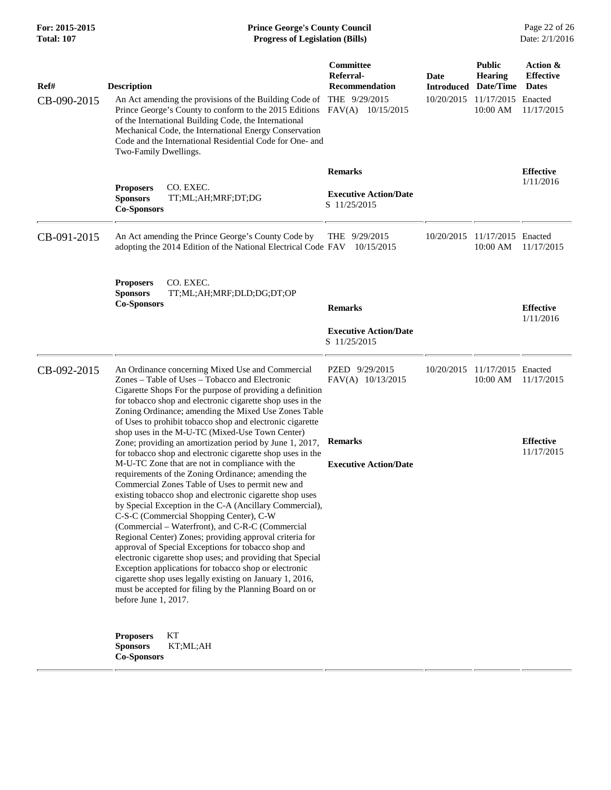## **For: 2015-2015 Prince George's County Council** Page 22 of 26<br> **Prince George's County Council** Page 22 of 26<br> **Progress of Legislation (Bills)** Date: 2/1/2016 **Total: 107 Progress of Legislation (Bills)**

| Ref#<br>CB-090-2015 | <b>Description</b><br>An Act amending the provisions of the Building Code of<br>Prince George's County to conform to the 2015 Editions<br>of the International Building Code, the International<br>Mechanical Code, the International Energy Conservation<br>Code and the International Residential Code for One- and<br>Two-Family Dwellings.                                                                                                                                                                                                                                                                                                                                                                                                                                                                                                                                                                                                                                                                                                                                                                                                                                                                                                                                                                                      | Committee<br>Referral-<br><b>Recommendation</b><br>THE 9/29/2015<br>FAV(A) 10/15/2015 | <b>Date</b><br><b>Introduced</b> | <b>Public</b><br><b>Hearing</b><br>Date/Time<br>10/20/2015 11/17/2015 Enacted<br>10:00 AM | Action &<br><b>Effective</b><br><b>Dates</b><br>11/17/2015 |
|---------------------|-------------------------------------------------------------------------------------------------------------------------------------------------------------------------------------------------------------------------------------------------------------------------------------------------------------------------------------------------------------------------------------------------------------------------------------------------------------------------------------------------------------------------------------------------------------------------------------------------------------------------------------------------------------------------------------------------------------------------------------------------------------------------------------------------------------------------------------------------------------------------------------------------------------------------------------------------------------------------------------------------------------------------------------------------------------------------------------------------------------------------------------------------------------------------------------------------------------------------------------------------------------------------------------------------------------------------------------|---------------------------------------------------------------------------------------|----------------------------------|-------------------------------------------------------------------------------------------|------------------------------------------------------------|
|                     | CO. EXEC.<br><b>Proposers</b><br><b>Sponsors</b><br>TT;ML;AH;MRF;DT;DG<br><b>Co-Sponsors</b>                                                                                                                                                                                                                                                                                                                                                                                                                                                                                                                                                                                                                                                                                                                                                                                                                                                                                                                                                                                                                                                                                                                                                                                                                                        | <b>Remarks</b><br><b>Executive Action/Date</b><br>S 11/25/2015                        |                                  |                                                                                           | <b>Effective</b><br>1/11/2016                              |
| CB-091-2015         | An Act amending the Prince George's County Code by<br>adopting the 2014 Edition of the National Electrical Code FAV 10/15/2015                                                                                                                                                                                                                                                                                                                                                                                                                                                                                                                                                                                                                                                                                                                                                                                                                                                                                                                                                                                                                                                                                                                                                                                                      | THE $9/29/2015$                                                                       |                                  | 10/20/2015 11/17/2015 Enacted<br>10:00 AM                                                 | 11/17/2015                                                 |
|                     | CO. EXEC.<br><b>Proposers</b><br><b>Sponsors</b><br>TT;ML;AH;MRF;DLD;DG;DT;OP<br><b>Co-Sponsors</b>                                                                                                                                                                                                                                                                                                                                                                                                                                                                                                                                                                                                                                                                                                                                                                                                                                                                                                                                                                                                                                                                                                                                                                                                                                 | <b>Remarks</b><br><b>Executive Action/Date</b><br>S 11/25/2015                        |                                  |                                                                                           | <b>Effective</b><br>1/11/2016                              |
| CB-092-2015         | An Ordinance concerning Mixed Use and Commercial<br>Zones – Table of Uses – Tobacco and Electronic<br>Cigarette Shops For the purpose of providing a definition<br>for tobacco shop and electronic cigarette shop uses in the<br>Zoning Ordinance; amending the Mixed Use Zones Table<br>of Uses to prohibit tobacco shop and electronic cigarette<br>shop uses in the M-U-TC (Mixed-Use Town Center)<br>Zone; providing an amortization period by June 1, 2017,<br>for tobacco shop and electronic cigarette shop uses in the<br>M-U-TC Zone that are not in compliance with the<br>requirements of the Zoning Ordinance; amending the<br>Commercial Zones Table of Uses to permit new and<br>existing tobacco shop and electronic cigarette shop uses<br>by Special Exception in the C-A (Ancillary Commercial),<br>C-S-C (Commercial Shopping Center), C-W<br>(Commercial – Waterfront), and C-R-C (Commercial<br>Regional Center) Zones; providing approval criteria for<br>approval of Special Exceptions for tobacco shop and<br>electronic cigarette shop uses; and providing that Special<br>Exception applications for tobacco shop or electronic<br>cigarette shop uses legally existing on January 1, 2016,<br>must be accepted for filing by the Planning Board on or<br>before June 1, 2017.<br>KT<br><b>Proposers</b> | PZED 9/29/2015<br>FAV(A) 10/13/2015<br><b>Remarks</b><br><b>Executive Action/Date</b> |                                  | 10/20/2015 11/17/2015 Enacted<br>10:00 AM                                                 | 11/17/2015<br><b>Effective</b><br>11/17/2015               |
|                     | <b>Sponsors</b><br>KT;ML;AH<br><b>Co-Sponsors</b>                                                                                                                                                                                                                                                                                                                                                                                                                                                                                                                                                                                                                                                                                                                                                                                                                                                                                                                                                                                                                                                                                                                                                                                                                                                                                   |                                                                                       |                                  |                                                                                           |                                                            |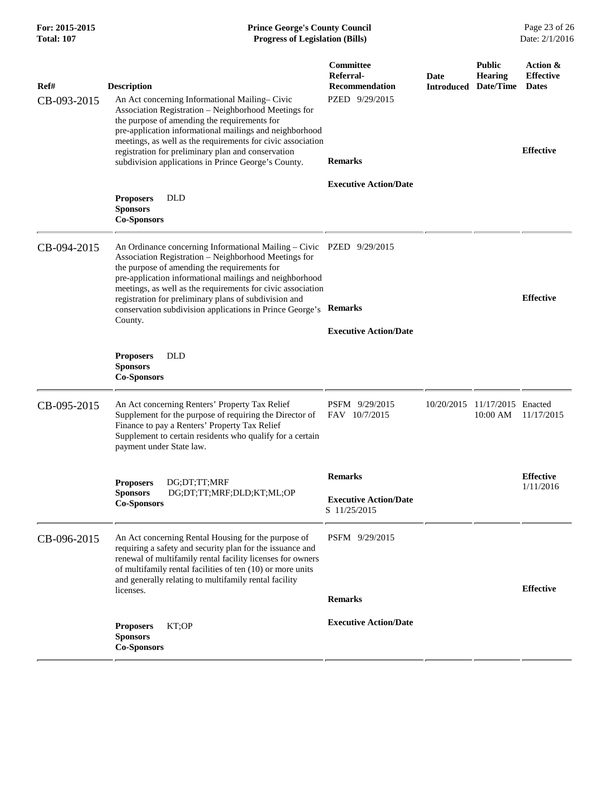## **For: 2015-2015 Prince George's County Council** Page 23 of 26<br> **Prince George's County Council** Page 23 of 26<br> **Progress of Legislation (Bills)** Date: 2/1/2016 **Total: 107 Progress of Legislation (Bills)**

| Ref#        | <b>Description</b>                                                                                                                                                                                                                                                                                                 | Committee<br>Referral-<br><b>Recommendation</b> | <b>Date</b> | <b>Public</b><br><b>Hearing</b><br><b>Introduced Date/Time</b> | Action &<br><b>Effective</b><br><b>Dates</b> |
|-------------|--------------------------------------------------------------------------------------------------------------------------------------------------------------------------------------------------------------------------------------------------------------------------------------------------------------------|-------------------------------------------------|-------------|----------------------------------------------------------------|----------------------------------------------|
| CB-093-2015 | An Act concerning Informational Mailing–Civic<br>Association Registration - Neighborhood Meetings for<br>the purpose of amending the requirements for<br>pre-application informational mailings and neighborhood<br>meetings, as well as the requirements for civic association                                    | PZED 9/29/2015                                  |             |                                                                |                                              |
|             | registration for preliminary plan and conservation<br>subdivision applications in Prince George's County.                                                                                                                                                                                                          | <b>Remarks</b>                                  |             |                                                                | <b>Effective</b>                             |
|             | <b>DLD</b><br><b>Proposers</b><br><b>Sponsors</b><br><b>Co-Sponsors</b>                                                                                                                                                                                                                                            | <b>Executive Action/Date</b>                    |             |                                                                |                                              |
| CB-094-2015 | An Ordinance concerning Informational Mailing – Civic PZED 9/29/2015<br>Association Registration - Neighborhood Meetings for<br>the purpose of amending the requirements for<br>pre-application informational mailings and neighborhood                                                                            |                                                 |             |                                                                |                                              |
|             | meetings, as well as the requirements for civic association<br>registration for preliminary plans of subdivision and<br>conservation subdivision applications in Prince George's<br>County.                                                                                                                        | <b>Remarks</b>                                  |             |                                                                | <b>Effective</b>                             |
|             |                                                                                                                                                                                                                                                                                                                    | <b>Executive Action/Date</b>                    |             |                                                                |                                              |
|             | <b>DLD</b><br><b>Proposers</b><br><b>Sponsors</b><br><b>Co-Sponsors</b>                                                                                                                                                                                                                                            |                                                 |             |                                                                |                                              |
| CB-095-2015 | An Act concerning Renters' Property Tax Relief<br>Supplement for the purpose of requiring the Director of<br>Finance to pay a Renters' Property Tax Relief<br>Supplement to certain residents who qualify for a certain<br>payment under State law.                                                                | PSFM 9/29/2015<br>FAV 10/7/2015                 |             | 10/20/2015 11/17/2015 Enacted<br>10:00 AM                      | 11/17/2015                                   |
|             | DG:DT:TT:MRF<br><b>Proposers</b><br>DG;DT;TT;MRF;DLD;KT;ML;OP<br><b>Sponsors</b><br><b>Co-Sponsors</b>                                                                                                                                                                                                             | <b>Remarks</b>                                  |             |                                                                | <b>Effective</b>                             |
|             |                                                                                                                                                                                                                                                                                                                    | <b>Executive Action/Date</b><br>S 11/25/2015    |             |                                                                | 1/11/2016                                    |
| CB-096-2015 | An Act concerning Rental Housing for the purpose of<br>requiring a safety and security plan for the issuance and<br>renewal of multifamily rental facility licenses for owners<br>of multifamily rental facilities of ten (10) or more units<br>and generally relating to multifamily rental facility<br>licenses. | PSFM 9/29/2015                                  |             |                                                                |                                              |
|             |                                                                                                                                                                                                                                                                                                                    | <b>Remarks</b>                                  |             |                                                                | <b>Effective</b>                             |
|             | KT;OP<br><b>Proposers</b><br><b>Sponsors</b><br><b>Co-Sponsors</b>                                                                                                                                                                                                                                                 | <b>Executive Action/Date</b>                    |             |                                                                |                                              |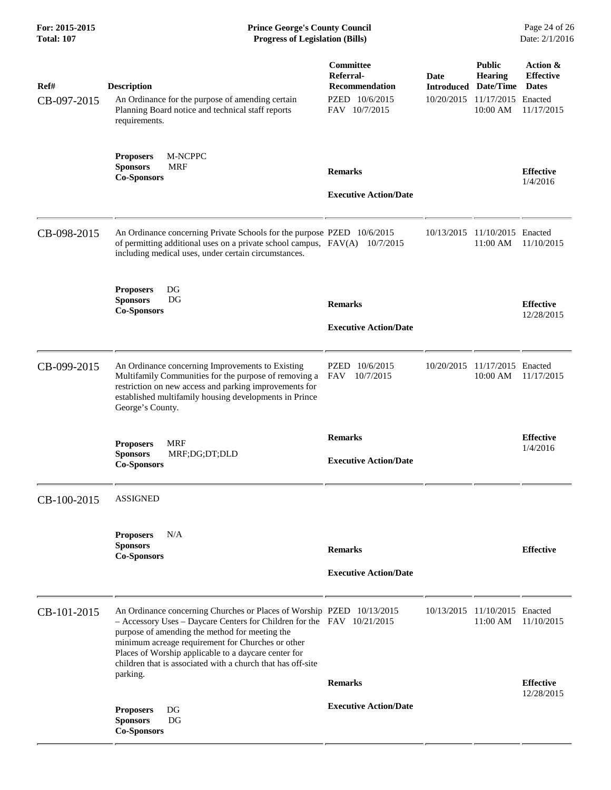| Ref#<br>CB-097-2015 | <b>Description</b><br>An Ordinance for the purpose of amending certain<br>Planning Board notice and technical staff reports<br>requirements.                                                                                                                                                                                                                                      | Committee<br>Referral-<br>Recommendation<br>PZED 10/6/2015<br>FAV 10/7/2015 | Date<br><b>Introduced</b><br>10/20/2015 | <b>Public</b><br><b>Hearing</b><br>Date/Time<br>11/17/2015 Enacted<br>10:00 AM | Action &<br><b>Effective</b><br><b>Dates</b><br>11/17/2015 |
|---------------------|-----------------------------------------------------------------------------------------------------------------------------------------------------------------------------------------------------------------------------------------------------------------------------------------------------------------------------------------------------------------------------------|-----------------------------------------------------------------------------|-----------------------------------------|--------------------------------------------------------------------------------|------------------------------------------------------------|
|                     | M-NCPPC<br><b>Proposers</b><br><b>MRF</b><br><b>Sponsors</b><br><b>Co-Sponsors</b>                                                                                                                                                                                                                                                                                                | <b>Remarks</b><br><b>Executive Action/Date</b>                              |                                         |                                                                                | <b>Effective</b><br>1/4/2016                               |
| CB-098-2015         | An Ordinance concerning Private Schools for the purpose PZED 10/6/2015<br>of permitting additional uses on a private school campus, FAV(A) 10/7/2015<br>including medical uses, under certain circumstances.                                                                                                                                                                      |                                                                             | 10/13/2015                              | 11/10/2015 Enacted<br>11:00 AM                                                 | 11/10/2015                                                 |
|                     | <b>Proposers</b><br>DG<br><b>Sponsors</b><br>DG<br><b>Co-Sponsors</b>                                                                                                                                                                                                                                                                                                             | <b>Remarks</b><br><b>Executive Action/Date</b>                              |                                         |                                                                                | <b>Effective</b><br>12/28/2015                             |
| CB-099-2015         | An Ordinance concerning Improvements to Existing<br>Multifamily Communities for the purpose of removing a<br>restriction on new access and parking improvements for<br>established multifamily housing developments in Prince<br>George's County.                                                                                                                                 | PZED<br>10/6/2015<br><b>FAV</b><br>10/7/2015                                |                                         | 10/20/2015 11/17/2015 Enacted<br>10:00 AM                                      | 11/17/2015                                                 |
|                     | <b>Proposers</b><br><b>MRF</b><br><b>Sponsors</b><br>MRF;DG;DT;DLD<br><b>Co-Sponsors</b>                                                                                                                                                                                                                                                                                          | <b>Remarks</b><br><b>Executive Action/Date</b>                              |                                         |                                                                                | <b>Effective</b><br>1/4/2016                               |
| CB-100-2015         | ASSIGNED                                                                                                                                                                                                                                                                                                                                                                          |                                                                             |                                         |                                                                                |                                                            |
|                     | N/A<br><b>Proposers</b><br><b>Sponsors</b><br><b>Co-Sponsors</b>                                                                                                                                                                                                                                                                                                                  | <b>Remarks</b><br><b>Executive Action/Date</b>                              |                                         |                                                                                | <b>Effective</b>                                           |
| CB-101-2015         | An Ordinance concerning Churches or Places of Worship PZED 10/13/2015<br>$-$ Accessory Uses – Daycare Centers for Children for the FAV $10/21/2015$<br>purpose of amending the method for meeting the<br>minimum acreage requirement for Churches or other<br>Places of Worship applicable to a daycare center for<br>children that is associated with a church that has off-site |                                                                             |                                         | 10/13/2015 11/10/2015 Enacted<br>11:00 AM                                      | 11/10/2015                                                 |
|                     | parking.<br>DG<br><b>Proposers</b><br>DG<br><b>Sponsors</b><br><b>Co-Sponsors</b>                                                                                                                                                                                                                                                                                                 | <b>Remarks</b><br><b>Executive Action/Date</b>                              |                                         |                                                                                | <b>Effective</b><br>12/28/2015                             |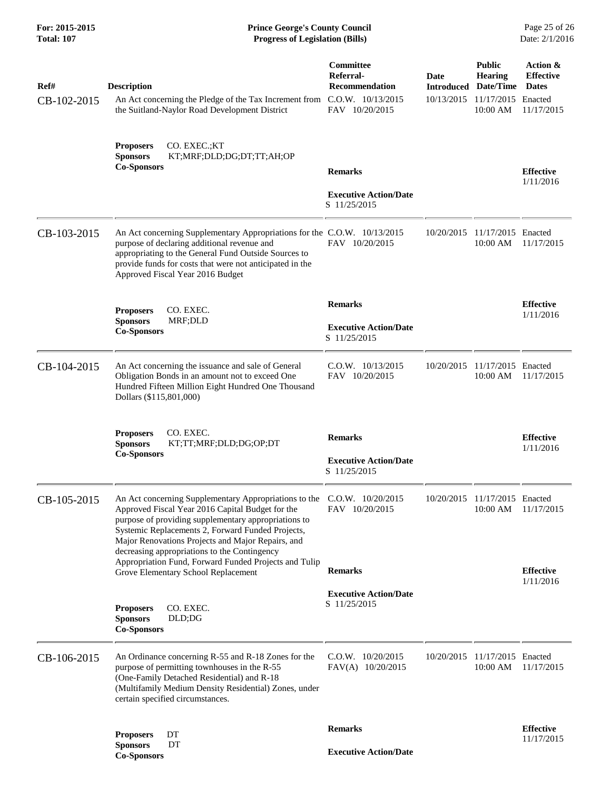**For: 2015-2015 Prince George's County Council** Page 25 of 26<br> **Prince George's County Council** Page 25 of 26<br> **Progress of Legislation (Bills)** Date: 2/1/2016 **Total: 107 Progress of Legislation (Bills)** 

| Ref#<br>CB-102-2015 | <b>Description</b><br>An Act concerning the Pledge of the Tax Increment from<br>the Suitland-Naylor Road Development District                                                                                                                                                                 | Committee<br>Referral-<br><b>Recommendation</b><br>$C.0.W.$ $10/13/2015$<br>FAV 10/20/2015 | Date<br>10/13/2015 | <b>Public</b><br><b>Hearing</b><br><b>Introduced Date/Time</b><br>11/17/2015<br>10:00 AM | Action &<br><b>Effective</b><br><b>Dates</b><br>Enacted<br>11/17/2015 |
|---------------------|-----------------------------------------------------------------------------------------------------------------------------------------------------------------------------------------------------------------------------------------------------------------------------------------------|--------------------------------------------------------------------------------------------|--------------------|------------------------------------------------------------------------------------------|-----------------------------------------------------------------------|
|                     | CO. EXEC.;KT<br><b>Proposers</b><br><b>Sponsors</b><br>KT;MRF;DLD;DG;DT;TT;AH;OP<br><b>Co-Sponsors</b>                                                                                                                                                                                        | <b>Remarks</b><br><b>Executive Action/Date</b><br>S 11/25/2015                             |                    |                                                                                          | <b>Effective</b><br>1/11/2016                                         |
| CB-103-2015         | An Act concerning Supplementary Appropriations for the C.O.W. 10/13/2015<br>purpose of declaring additional revenue and<br>appropriating to the General Fund Outside Sources to<br>provide funds for costs that were not anticipated in the<br>Approved Fiscal Year 2016 Budget               | FAV 10/20/2015                                                                             | 10/20/2015         | 11/17/2015 Enacted<br>10:00 AM                                                           | 11/17/2015                                                            |
|                     | CO. EXEC.<br><b>Proposers</b><br><b>Sponsors</b><br>MRF;DLD<br><b>Co-Sponsors</b>                                                                                                                                                                                                             | <b>Remarks</b><br><b>Executive Action/Date</b><br>S 11/25/2015                             |                    |                                                                                          | <b>Effective</b><br>1/11/2016                                         |
| CB-104-2015         | An Act concerning the issuance and sale of General<br>Obligation Bonds in an amount not to exceed One<br>Hundred Fifteen Million Eight Hundred One Thousand<br>Dollars (\$115,801,000)                                                                                                        | $C.0.W.$ $10/13/2015$<br>FAV 10/20/2015                                                    |                    | 10/20/2015 11/17/2015 Enacted<br>10:00 AM                                                | 11/17/2015                                                            |
|                     | CO. EXEC.<br><b>Proposers</b><br><b>Sponsors</b><br>KT;TT;MRF;DLD;DG;OP;DT<br><b>Co-Sponsors</b>                                                                                                                                                                                              | <b>Remarks</b><br><b>Executive Action/Date</b><br>S 11/25/2015                             |                    |                                                                                          | <b>Effective</b><br>1/11/2016                                         |
| CB-105-2015         | An Act concerning Supplementary Appropriations to the C.O.W. 10/20/2015<br>Approved Fiscal Year 2016 Capital Budget for the<br>purpose of providing supplementary appropriations to<br>Systemic Replacements 2, Forward Funded Projects,<br>Major Renovations Projects and Major Repairs, and | FAV 10/20/2015                                                                             |                    | 10/20/2015 11/17/2015 Enacted<br>10:00 AM                                                | 11/17/2015                                                            |
|                     | decreasing appropriations to the Contingency<br>Appropriation Fund, Forward Funded Projects and Tulip<br>Grove Elementary School Replacement                                                                                                                                                  | <b>Remarks</b>                                                                             |                    |                                                                                          | <b>Effective</b><br>1/11/2016                                         |
|                     | <b>Proposers</b><br>CO. EXEC.<br><b>Sponsors</b><br>DLD;DG<br><b>Co-Sponsors</b>                                                                                                                                                                                                              | <b>Executive Action/Date</b><br>S 11/25/2015                                               |                    |                                                                                          |                                                                       |
| CB-106-2015         | An Ordinance concerning R-55 and R-18 Zones for the<br>purpose of permitting townhouses in the R-55<br>(One-Family Detached Residential) and R-18<br>(Multifamily Medium Density Residential) Zones, under<br>certain specified circumstances.                                                | $C.0.W.$ $10/20/2015$<br>FAV(A) 10/20/2015                                                 | 10/20/2015         | 11/17/2015 Enacted<br>10:00 AM                                                           | 11/17/2015                                                            |
|                     | <b>Proposers</b><br>DT<br><b>Sponsors</b><br>DT<br><b>Co-Sponsors</b>                                                                                                                                                                                                                         | <b>Remarks</b><br><b>Executive Action/Date</b>                                             |                    |                                                                                          | <b>Effective</b><br>11/17/2015                                        |